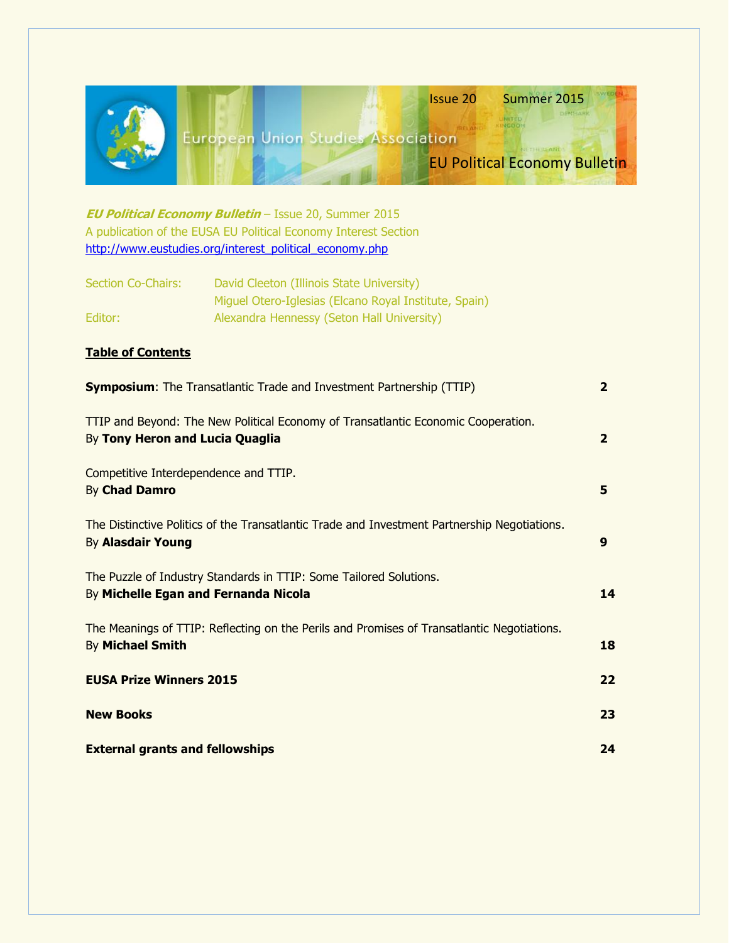|                                                                                                                          | <b>Issue 20</b><br>Summer 2015<br><b>European Union Studies Association</b><br>NI THULLIANT<br><b>EU Political Economy Bulletin</b><br><b>EU Political Economy Bulletin</b> - Issue 20, Summer 2015<br>A publication of the EUSA EU Political Economy Interest Section<br>http://www.eustudies.org/interest_political_economy.php |                |
|--------------------------------------------------------------------------------------------------------------------------|-----------------------------------------------------------------------------------------------------------------------------------------------------------------------------------------------------------------------------------------------------------------------------------------------------------------------------------|----------------|
| <b>Section Co-Chairs:</b><br>Editor:                                                                                     | David Cleeton (Illinois State University)<br>Miguel Otero-Iglesias (Elcano Royal Institute, Spain)<br>Alexandra Hennessy (Seton Hall University)                                                                                                                                                                                  |                |
| <b>Table of Contents</b>                                                                                                 |                                                                                                                                                                                                                                                                                                                                   |                |
| <b>Symposium:</b> The Transatlantic Trade and Investment Partnership (TTIP)                                              |                                                                                                                                                                                                                                                                                                                                   | $\overline{2}$ |
| TTIP and Beyond: The New Political Economy of Transatlantic Economic Cooperation.<br>By Tony Heron and Lucia Quaglia     |                                                                                                                                                                                                                                                                                                                                   | $\overline{2}$ |
| Competitive Interdependence and TTIP.<br>By Chad Damro                                                                   |                                                                                                                                                                                                                                                                                                                                   | 5              |
| The Distinctive Politics of the Transatlantic Trade and Investment Partnership Negotiations.<br><b>By Alasdair Young</b> |                                                                                                                                                                                                                                                                                                                                   | 9              |
| The Puzzle of Industry Standards in TTIP: Some Tailored Solutions.<br>By Michelle Egan and Fernanda Nicola               |                                                                                                                                                                                                                                                                                                                                   | 14             |
| The Meanings of TTIP: Reflecting on the Perils and Promises of Transatlantic Negotiations.<br>By Michael Smith           |                                                                                                                                                                                                                                                                                                                                   | 18             |
| <b>EUSA Prize Winners 2015</b>                                                                                           |                                                                                                                                                                                                                                                                                                                                   | 22             |
| <b>New Books</b>                                                                                                         |                                                                                                                                                                                                                                                                                                                                   | 23             |
| <b>External grants and fellowships</b>                                                                                   |                                                                                                                                                                                                                                                                                                                                   | 24             |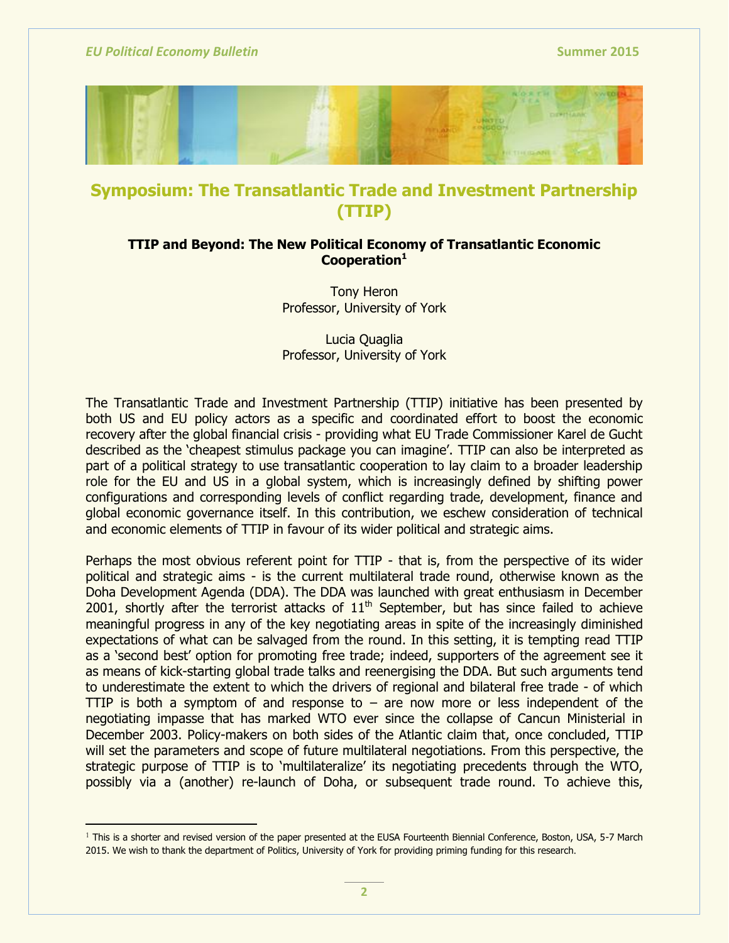$\overline{a}$ 



# **Symposium: The Transatlantic Trade and Investment Partnership (TTIP)**

## **TTIP and Beyond: The New Political Economy of Transatlantic Economic Cooperation<sup>1</sup>**

Tony Heron Professor, University of York

Lucia Quaglia Professor, University of York

The Transatlantic Trade and Investment Partnership (TTIP) initiative has been presented by both US and EU policy actors as a specific and coordinated effort to boost the economic recovery after the global financial crisis - providing what EU Trade Commissioner Karel de Gucht described as the 'cheapest stimulus package you can imagine'. TTIP can also be interpreted as part of a political strategy to use transatlantic cooperation to lay claim to a broader leadership role for the EU and US in a global system, which is increasingly defined by shifting power configurations and corresponding levels of conflict regarding trade, development, finance and global economic governance itself. In this contribution, we eschew consideration of technical and economic elements of TTIP in favour of its wider political and strategic aims.

Perhaps the most obvious referent point for TTIP - that is, from the perspective of its wider political and strategic aims - is the current multilateral trade round, otherwise known as the Doha Development Agenda (DDA). The DDA was launched with great enthusiasm in December 2001, shortly after the terrorist attacks of  $11<sup>th</sup>$  September, but has since failed to achieve meaningful progress in any of the key negotiating areas in spite of the increasingly diminished expectations of what can be salvaged from the round. In this setting, it is tempting read TTIP as a 'second best' option for promoting free trade; indeed, supporters of the agreement see it as means of kick-starting global trade talks and reenergising the DDA. But such arguments tend to underestimate the extent to which the drivers of regional and bilateral free trade - of which TTIP is both a symptom of and response to  $-$  are now more or less independent of the negotiating impasse that has marked WTO ever since the collapse of Cancun Ministerial in December 2003. Policy-makers on both sides of the Atlantic claim that, once concluded, TTIP will set the parameters and scope of future multilateral negotiations. From this perspective, the strategic purpose of TTIP is to 'multilateralize' its negotiating precedents through the WTO, possibly via a (another) re-launch of Doha, or subsequent trade round. To achieve this,

<sup>1</sup> This is a shorter and revised version of the paper presented at the EUSA Fourteenth Biennial Conference, Boston, USA, 5-7 March 2015. We wish to thank the department of Politics, University of York for providing priming funding for this research.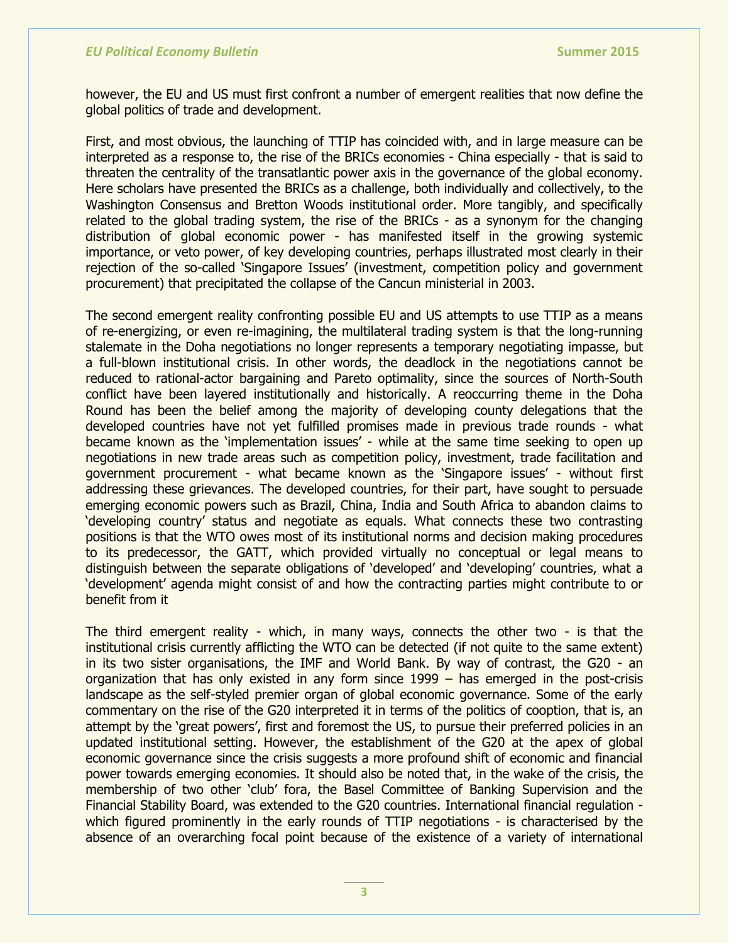however, the EU and US must first confront a number of emergent realities that now define the global politics of trade and development.

First, and most obvious, the launching of TTIP has coincided with, and in large measure can be interpreted as a response to, the rise of the BRICs economies - China especially - that is said to threaten the centrality of the transatlantic power axis in the governance of the global economy. Here scholars have presented the BRICs as a challenge, both individually and collectively, to the Washington Consensus and Bretton Woods institutional order. More tangibly, and specifically related to the global trading system, the rise of the BRICs - as a synonym for the changing distribution of global economic power - has manifested itself in the growing systemic importance, or veto power, of key developing countries, perhaps illustrated most clearly in their rejection of the so-called 'Singapore Issues' (investment, competition policy and government procurement) that precipitated the collapse of the Cancun ministerial in 2003.

The second emergent reality confronting possible EU and US attempts to use TTIP as a means of re-energizing, or even re-imagining, the multilateral trading system is that the long-running stalemate in the Doha negotiations no longer represents a temporary negotiating impasse, but a full-blown institutional crisis. In other words, the deadlock in the negotiations cannot be reduced to rational-actor bargaining and Pareto optimality, since the sources of North-South conflict have been layered institutionally and historically. A reoccurring theme in the Doha Round has been the belief among the majority of developing county delegations that the developed countries have not yet fulfilled promises made in previous trade rounds - what became known as the 'implementation issues' - while at the same time seeking to open up negotiations in new trade areas such as competition policy, investment, trade facilitation and government procurement - what became known as the 'Singapore issues' - without first addressing these grievances. The developed countries, for their part, have sought to persuade emerging economic powers such as Brazil, China, India and South Africa to abandon claims to 'developing country' status and negotiate as equals. What connects these two contrasting positions is that the WTO owes most of its institutional norms and decision making procedures to its predecessor, the GATT, which provided virtually no conceptual or legal means to distinguish between the separate obligations of 'developed' and 'developing' countries, what a ‗development' agenda might consist of and how the contracting parties might contribute to or benefit from it

The third emergent reality - which, in many ways, connects the other two - is that the institutional crisis currently afflicting the WTO can be detected (if not quite to the same extent) in its two sister organisations, the IMF and World Bank. By way of contrast, the G20 - an organization that has only existed in any form since 1999 – has emerged in the post-crisis landscape as the self-styled premier organ of global economic governance. Some of the early commentary on the rise of the G20 interpreted it in terms of the politics of cooption, that is, an attempt by the 'great powers', first and foremost the US, to pursue their preferred policies in an updated institutional setting. However, the establishment of the G20 at the apex of global economic governance since the crisis suggests a more profound shift of economic and financial power towards emerging economies. It should also be noted that, in the wake of the crisis, the membership of two other 'club' fora, the Basel Committee of Banking Supervision and the Financial Stability Board, was extended to the G20 countries. International financial regulation which figured prominently in the early rounds of TTIP negotiations - is characterised by the absence of an overarching focal point because of the existence of a variety of international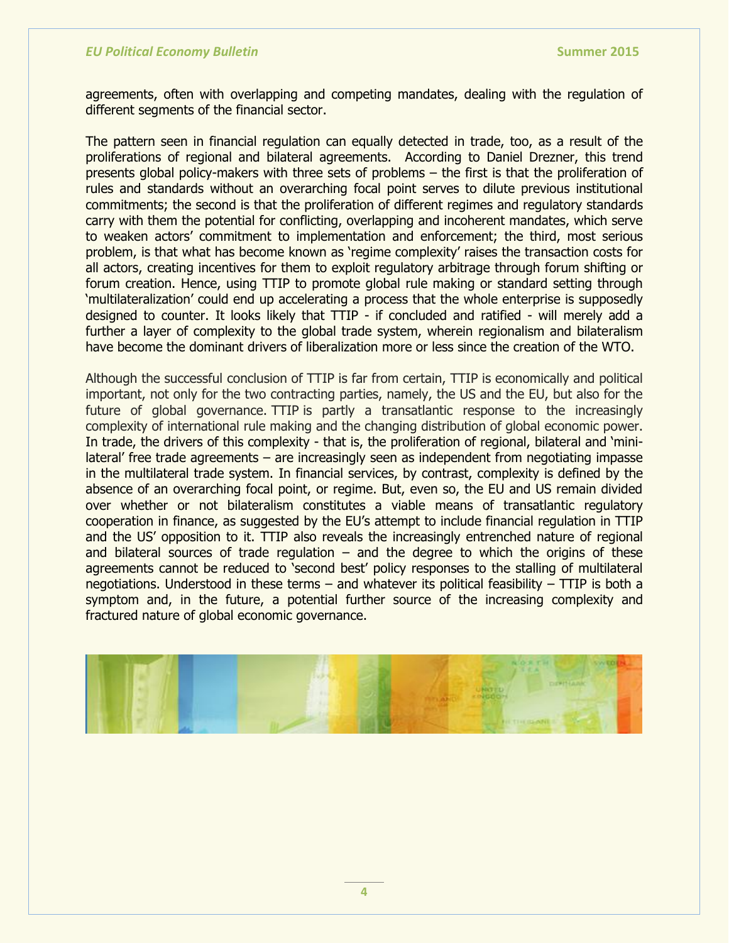agreements, often with overlapping and competing mandates, dealing with the regulation of different segments of the financial sector.

The pattern seen in financial regulation can equally detected in trade, too, as a result of the proliferations of regional and bilateral agreements. According to Daniel Drezner, this trend presents global policy-makers with three sets of problems – the first is that the proliferation of rules and standards without an overarching focal point serves to dilute previous institutional commitments; the second is that the proliferation of different regimes and regulatory standards carry with them the potential for conflicting, overlapping and incoherent mandates, which serve to weaken actors' commitment to implementation and enforcement; the third, most serious problem, is that what has become known as 'regime complexity' raises the transaction costs for all actors, creating incentives for them to exploit regulatory arbitrage through forum shifting or forum creation. Hence, using TTIP to promote global rule making or standard setting through ‗multilateralization' could end up accelerating a process that the whole enterprise is supposedly designed to counter. It looks likely that TTIP - if concluded and ratified - will merely add a further a layer of complexity to the global trade system, wherein regionalism and bilateralism have become the dominant drivers of liberalization more or less since the creation of the WTO.

Although the successful conclusion of TTIP is far from certain, TTIP is economically and political important, not only for the two contracting parties, namely, the US and the EU, but also for the future of global governance. TTIP is partly a transatlantic response to the increasingly complexity of international rule making and the changing distribution of global economic power. In trade, the drivers of this complexity - that is, the proliferation of regional, bilateral and 'minilateral' free trade agreements – are increasingly seen as independent from negotiating impasse in the multilateral trade system. In financial services, by contrast, complexity is defined by the absence of an overarching focal point, or regime. But, even so, the EU and US remain divided over whether or not bilateralism constitutes a viable means of transatlantic regulatory cooperation in finance, as suggested by the EU's attempt to include financial regulation in TTIP and the US' opposition to it. TTIP also reveals the increasingly entrenched nature of regional and bilateral sources of trade regulation  $-$  and the degree to which the origins of these agreements cannot be reduced to 'second best' policy responses to the stalling of multilateral negotiations. Understood in these terms  $-$  and whatever its political feasibility  $-$  TTIP is both a symptom and, in the future, a potential further source of the increasing complexity and fractured nature of global economic governance.

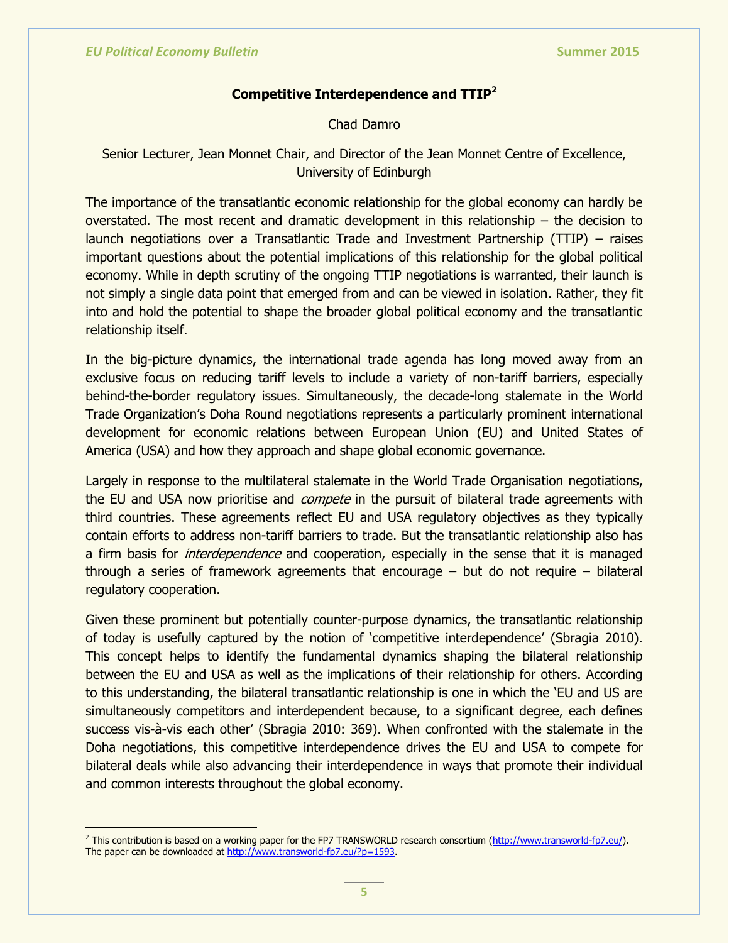## **Competitive Interdependence and TTIP<sup>2</sup>**

Chad Damro

## Senior Lecturer, Jean Monnet Chair, and Director of the Jean Monnet Centre of Excellence, University of Edinburgh

The importance of the transatlantic economic relationship for the global economy can hardly be overstated. The most recent and dramatic development in this relationship – the decision to launch negotiations over a Transatlantic Trade and Investment Partnership (TTIP) – raises important questions about the potential implications of this relationship for the global political economy. While in depth scrutiny of the ongoing TTIP negotiations is warranted, their launch is not simply a single data point that emerged from and can be viewed in isolation. Rather, they fit into and hold the potential to shape the broader global political economy and the transatlantic relationship itself.

In the big-picture dynamics, the international trade agenda has long moved away from an exclusive focus on reducing tariff levels to include a variety of non-tariff barriers, especially behind-the-border regulatory issues. Simultaneously, the decade-long stalemate in the World Trade Organization's Doha Round negotiations represents a particularly prominent international development for economic relations between European Union (EU) and United States of America (USA) and how they approach and shape global economic governance.

Largely in response to the multilateral stalemate in the World Trade Organisation negotiations, the EU and USA now prioritise and *compete* in the pursuit of bilateral trade agreements with third countries. These agreements reflect EU and USA regulatory objectives as they typically contain efforts to address non-tariff barriers to trade. But the transatlantic relationship also has a firm basis for *interdependence* and cooperation, especially in the sense that it is managed through a series of framework agreements that encourage  $-$  but do not require  $-$  bilateral regulatory cooperation.

Given these prominent but potentially counter-purpose dynamics, the transatlantic relationship of today is usefully captured by the notion of 'competitive interdependence' (Sbragia 2010). This concept helps to identify the fundamental dynamics shaping the bilateral relationship between the EU and USA as well as the implications of their relationship for others. According to this understanding, the bilateral transatlantic relationship is one in which the 'EU and US are simultaneously competitors and interdependent because, to a significant degree, each defines success vis-à-vis each other' (Sbragia 2010: 369). When confronted with the stalemate in the Doha negotiations, this competitive interdependence drives the EU and USA to compete for bilateral deals while also advancing their interdependence in ways that promote their individual and common interests throughout the global economy.

 $\overline{a}$ <sup>2</sup> This contribution is based on a working paper for the FP7 TRANSWORLD research consortium [\(http://www.transworld-fp7.eu/\)](http://www.transworld-fp7.eu/). The paper can be downloaded at [http://www.transworld-fp7.eu/?p=1593.](http://www.transworld-fp7.eu/?p=1593)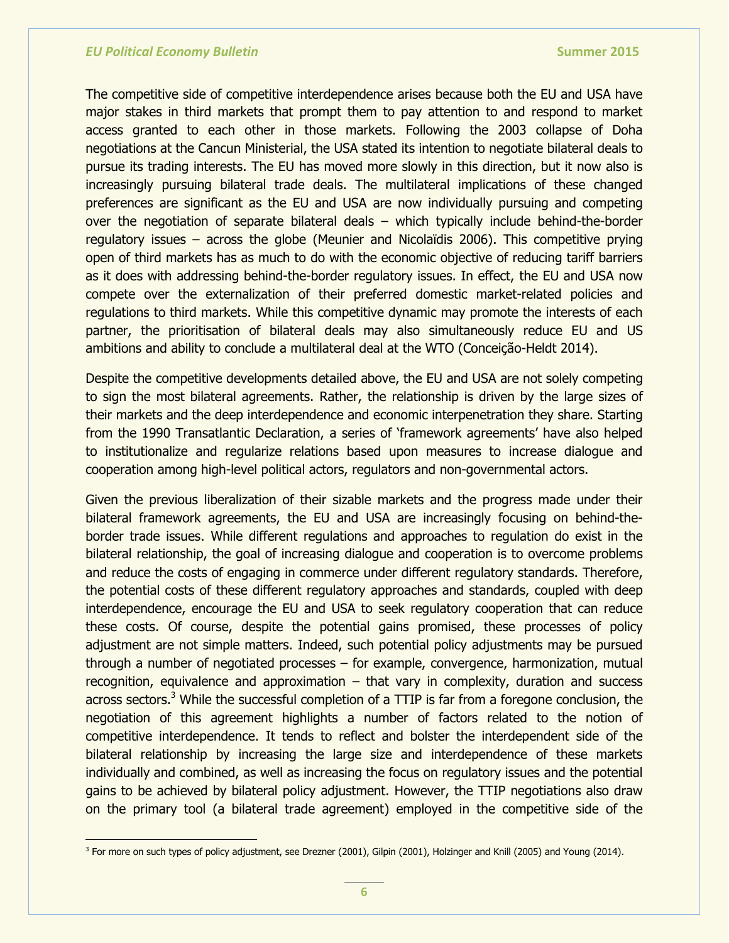$\overline{a}$ 

The competitive side of competitive interdependence arises because both the EU and USA have major stakes in third markets that prompt them to pay attention to and respond to market access granted to each other in those markets. Following the 2003 collapse of Doha negotiations at the Cancun Ministerial, the USA stated its intention to negotiate bilateral deals to pursue its trading interests. The EU has moved more slowly in this direction, but it now also is increasingly pursuing bilateral trade deals. The multilateral implications of these changed preferences are significant as the EU and USA are now individually pursuing and competing over the negotiation of separate bilateral deals – which typically include behind-the-border regulatory issues – across the globe (Meunier and Nicolaïdis 2006). This competitive prying open of third markets has as much to do with the economic objective of reducing tariff barriers as it does with addressing behind-the-border regulatory issues. In effect, the EU and USA now compete over the externalization of their preferred domestic market-related policies and regulations to third markets. While this competitive dynamic may promote the interests of each partner, the prioritisation of bilateral deals may also simultaneously reduce EU and US ambitions and ability to conclude a multilateral deal at the WTO (Conceição-Heldt 2014).

Despite the competitive developments detailed above, the EU and USA are not solely competing to sign the most bilateral agreements. Rather, the relationship is driven by the large sizes of their markets and the deep interdependence and economic interpenetration they share. Starting from the 1990 Transatlantic Declaration, a series of 'framework agreements' have also helped to institutionalize and regularize relations based upon measures to increase dialogue and cooperation among high-level political actors, regulators and non-governmental actors.

Given the previous liberalization of their sizable markets and the progress made under their bilateral framework agreements, the EU and USA are increasingly focusing on behind-theborder trade issues. While different regulations and approaches to regulation do exist in the bilateral relationship, the goal of increasing dialogue and cooperation is to overcome problems and reduce the costs of engaging in commerce under different regulatory standards. Therefore, the potential costs of these different regulatory approaches and standards, coupled with deep interdependence, encourage the EU and USA to seek regulatory cooperation that can reduce these costs. Of course, despite the potential gains promised, these processes of policy adjustment are not simple matters. Indeed, such potential policy adjustments may be pursued through a number of negotiated processes – for example, convergence, harmonization, mutual recognition, equivalence and approximation – that vary in complexity, duration and success across sectors.<sup>3</sup> While the successful completion of a TTIP is far from a foregone conclusion, the negotiation of this agreement highlights a number of factors related to the notion of competitive interdependence. It tends to reflect and bolster the interdependent side of the bilateral relationship by increasing the large size and interdependence of these markets individually and combined, as well as increasing the focus on regulatory issues and the potential gains to be achieved by bilateral policy adjustment. However, the TTIP negotiations also draw on the primary tool (a bilateral trade agreement) employed in the competitive side of the

<sup>&</sup>lt;sup>3</sup> For more on such types of policy adjustment, see Drezner (2001), Gilpin (2001), Holzinger and Knill (2005) and Young (2014).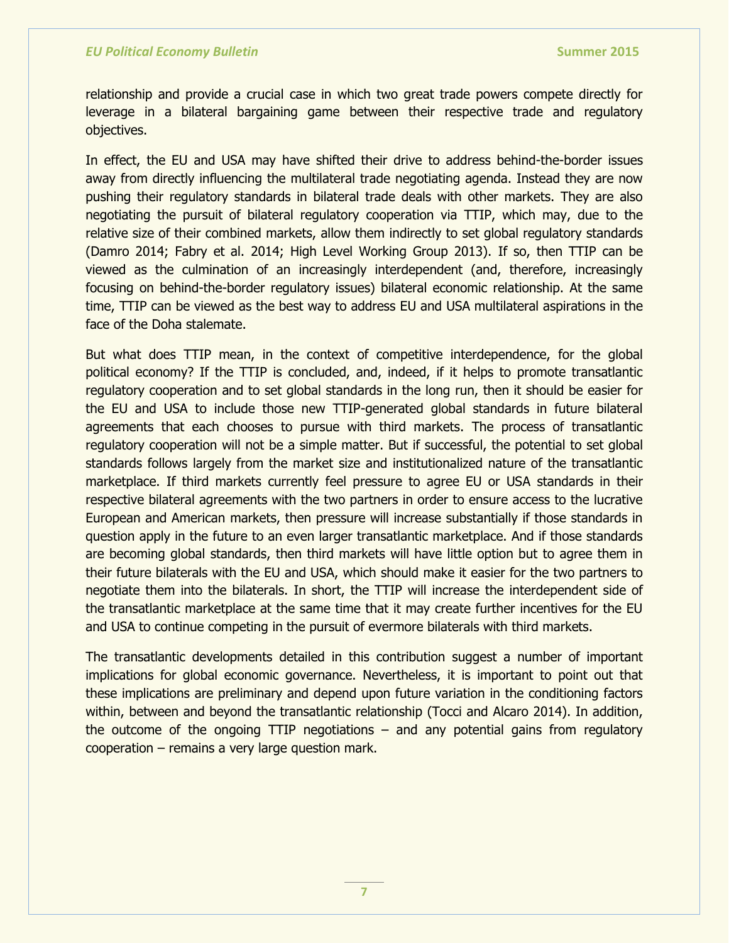relationship and provide a crucial case in which two great trade powers compete directly for leverage in a bilateral bargaining game between their respective trade and regulatory objectives.

In effect, the EU and USA may have shifted their drive to address behind-the-border issues away from directly influencing the multilateral trade negotiating agenda. Instead they are now pushing their regulatory standards in bilateral trade deals with other markets. They are also negotiating the pursuit of bilateral regulatory cooperation via TTIP, which may, due to the relative size of their combined markets, allow them indirectly to set global regulatory standards (Damro 2014; Fabry et al. 2014; High Level Working Group 2013). If so, then TTIP can be viewed as the culmination of an increasingly interdependent (and, therefore, increasingly focusing on behind-the-border regulatory issues) bilateral economic relationship. At the same time, TTIP can be viewed as the best way to address EU and USA multilateral aspirations in the face of the Doha stalemate.

But what does TTIP mean, in the context of competitive interdependence, for the global political economy? If the TTIP is concluded, and, indeed, if it helps to promote transatlantic regulatory cooperation and to set global standards in the long run, then it should be easier for the EU and USA to include those new TTIP-generated global standards in future bilateral agreements that each chooses to pursue with third markets. The process of transatlantic regulatory cooperation will not be a simple matter. But if successful, the potential to set global standards follows largely from the market size and institutionalized nature of the transatlantic marketplace. If third markets currently feel pressure to agree EU or USA standards in their respective bilateral agreements with the two partners in order to ensure access to the lucrative European and American markets, then pressure will increase substantially if those standards in question apply in the future to an even larger transatlantic marketplace. And if those standards are becoming global standards, then third markets will have little option but to agree them in their future bilaterals with the EU and USA, which should make it easier for the two partners to negotiate them into the bilaterals. In short, the TTIP will increase the interdependent side of the transatlantic marketplace at the same time that it may create further incentives for the EU and USA to continue competing in the pursuit of evermore bilaterals with third markets.

The transatlantic developments detailed in this contribution suggest a number of important implications for global economic governance. Nevertheless, it is important to point out that these implications are preliminary and depend upon future variation in the conditioning factors within, between and beyond the transatlantic relationship (Tocci and Alcaro 2014). In addition, the outcome of the ongoing TTIP negotiations  $-$  and any potential gains from regulatory cooperation – remains a very large question mark.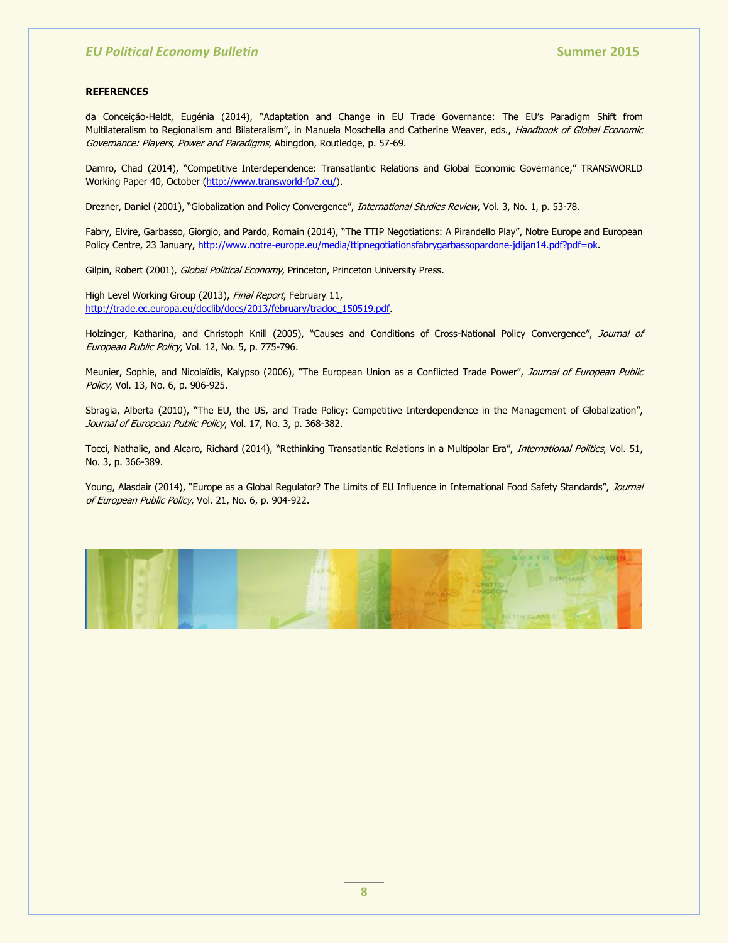#### **REFERENCES**

da Conceição-Heldt, Eugénia (2014), "Adaptation and Change in EU Trade Governance: The EU's Paradigm Shift from Multilateralism to Regionalism and Bilateralism", in Manuela Moschella and Catherine Weaver, eds., Handbook of Global Economic Governance: Players, Power and Paradigms, Abingdon, Routledge, p. 57-69.

Damro, Chad (2014), "Competitive Interdependence: Transatlantic Relations and Global Economic Governance," TRANSWORLD Working Paper 40, October [\(http://www.transworld-fp7.eu/\)](http://www.transworld-fp7.eu/).

Drezner, Daniel (2001), "Globalization and Policy Convergence", International Studies Review, Vol. 3, No. 1, p. 53-78.

Fabry, Elvire, Garbasso, Giorgio, and Pardo, Romain (2014), "The TTIP Negotiations: A Pirandello Play", Notre Europe and European Policy Centre, 23 January, [http://www.notre-europe.eu/media/ttipnegotiationsfabrygarbassopardone-jdijan14.pdf?pdf=ok.](http://www.notre-europe.eu/media/ttipnegotiationsfabrygarbassopardone-jdijan14.pdf?pdf=ok)

Gilpin, Robert (2001), Global Political Economy, Princeton, Princeton University Press.

High Level Working Group (2013), Final Report, February 11, [http://trade.ec.europa.eu/doclib/docs/2013/february/tradoc\\_150519.pdf.](http://trade.ec.europa.eu/doclib/docs/2013/february/tradoc_150519.pdf)

Holzinger, Katharina, and Christoph Knill (2005), "Causes and Conditions of Cross-National Policy Convergence", Journal of European Public Policy, Vol. 12, No. 5, p. 775-796.

Meunier, Sophie, and Nicolaïdis, Kalypso (2006), "The European Union as a Conflicted Trade Power", Journal of European Public Policy, Vol. 13, No. 6, p. 906-925.

Sbragia, Alberta (2010), "The EU, the US, and Trade Policy: Competitive Interdependence in the Management of Globalization", Journal of European Public Policy, Vol. 17, No. 3, p. 368-382.

Tocci, Nathalie, and Alcaro, Richard (2014), "Rethinking Transatlantic Relations in a Multipolar Era", International Politics, Vol. 51, No. 3, p. 366-389.

Young, Alasdair (2014), "Europe as a Global Regulator? The Limits of EU Influence in International Food Safety Standards", Journal of European Public Policy, Vol. 21, No. 6, p. 904-922.

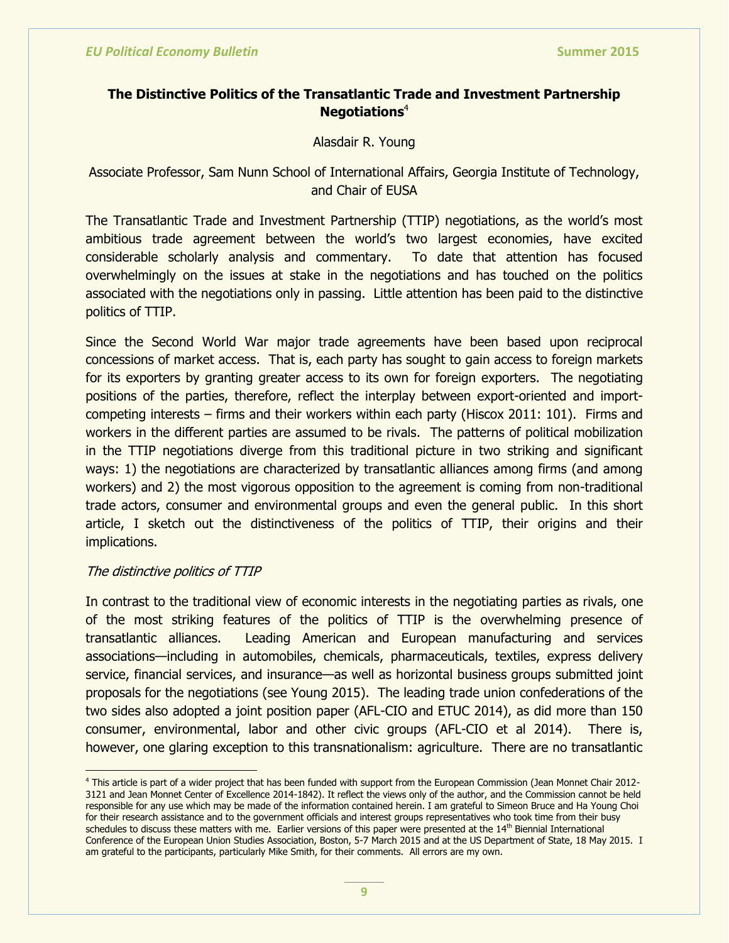## **The Distinctive Politics of the Transatlantic Trade and Investment Partnership Negotiations**<sup>4</sup>

## Alasdair R. Young

## Associate Professor, Sam Nunn School of International Affairs, Georgia Institute of Technology, and Chair of EUSA

The Transatlantic Trade and Investment Partnership (TTIP) negotiations, as the world's most ambitious trade agreement between the world's two largest economies, have excited considerable scholarly analysis and commentary. To date that attention has focused overwhelmingly on the issues at stake in the negotiations and has touched on the politics associated with the negotiations only in passing. Little attention has been paid to the distinctive politics of TTIP.

Since the Second World War major trade agreements have been based upon reciprocal concessions of market access. That is, each party has sought to gain access to foreign markets for its exporters by granting greater access to its own for foreign exporters. The negotiating positions of the parties, therefore, reflect the interplay between export-oriented and importcompeting interests – firms and their workers within each party (Hiscox 2011: 101). Firms and workers in the different parties are assumed to be rivals. The patterns of political mobilization in the TTIP negotiations diverge from this traditional picture in two striking and significant ways: 1) the negotiations are characterized by transatlantic alliances among firms (and among workers) and 2) the most vigorous opposition to the agreement is coming from non-traditional trade actors, consumer and environmental groups and even the general public. In this short article, I sketch out the distinctiveness of the politics of TTIP, their origins and their implications.

## The distinctive politics of TTIP

In contrast to the traditional view of economic interests in the negotiating parties as rivals, one of the most striking features of the politics of TTIP is the overwhelming presence of transatlantic alliances. Leading American and European manufacturing and services associations—including in automobiles, chemicals, pharmaceuticals, textiles, express delivery service, financial services, and insurance—as well as horizontal business groups submitted joint proposals for the negotiations (see Young 2015). The leading trade union confederations of the two sides also adopted a joint position paper (AFL-CIO and ETUC 2014), as did more than 150 consumer, environmental, labor and other civic groups (AFL-CIO et al 2014). There is, however, one glaring exception to this transnationalism: agriculture. There are no transatlantic

<sup>4</sup> This article is part of a wider project that has been funded with support from the European Commission (Jean Monnet Chair 2012- 3121 and Jean Monnet Center of Excellence 2014-1842). It reflect the views only of the author, and the Commission cannot be held responsible for any use which may be made of the information contained herein. I am grateful to Simeon Bruce and Ha Young Choi for their research assistance and to the government officials and interest groups representatives who took time from their busy schedules to discuss these matters with me. Earlier versions of this paper were presented at the  $14<sup>th</sup>$  Biennial International Conference of the European Union Studies Association, Boston, 5-7 March 2015 and at the US Department of State, 18 May 2015. I am grateful to the participants, particularly Mike Smith, for their comments. All errors are my own.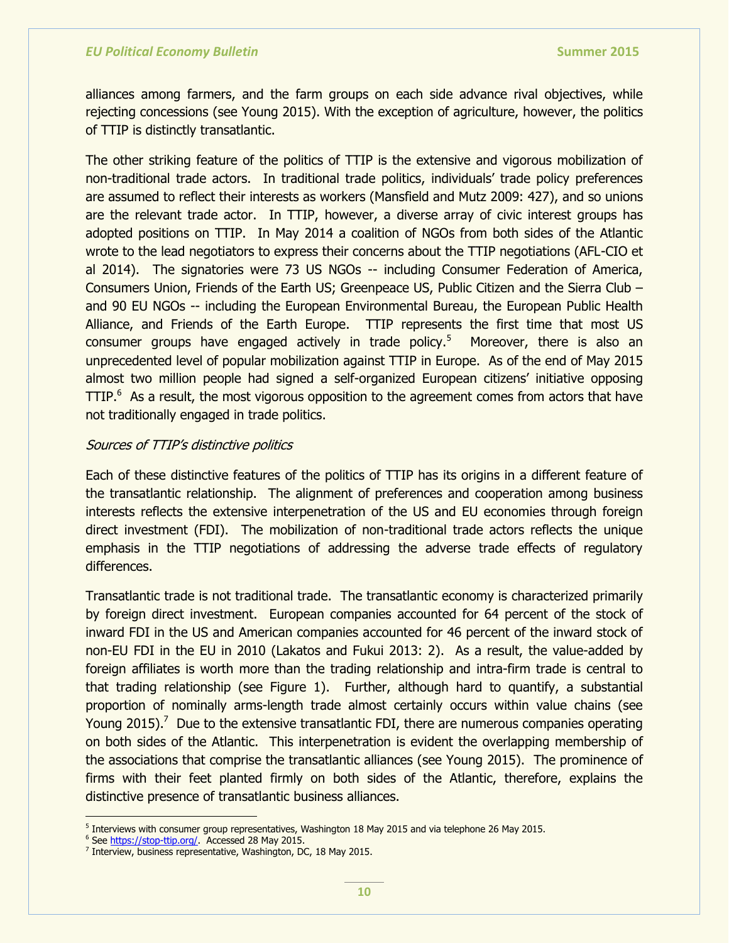alliances among farmers, and the farm groups on each side advance rival objectives, while rejecting concessions (see Young 2015). With the exception of agriculture, however, the politics of TTIP is distinctly transatlantic.

The other striking feature of the politics of TTIP is the extensive and vigorous mobilization of non-traditional trade actors. In traditional trade politics, individuals' trade policy preferences are assumed to reflect their interests as workers (Mansfield and Mutz 2009: 427), and so unions are the relevant trade actor. In TTIP, however, a diverse array of civic interest groups has adopted positions on TTIP. In May 2014 a coalition of NGOs from both sides of the Atlantic wrote to the lead negotiators to express their concerns about the TTIP negotiations (AFL-CIO et al 2014). The signatories were 73 US NGOs -- including Consumer Federation of America, Consumers Union, Friends of the Earth US; Greenpeace US, Public Citizen and the Sierra Club – and 90 EU NGOs -- including the European Environmental Bureau, the European Public Health Alliance, and Friends of the Earth Europe. TTIP represents the first time that most US consumer groups have engaged actively in trade policy.<sup>5</sup> Moreover, there is also an unprecedented level of popular mobilization against TTIP in Europe. As of the end of May 2015 almost two million people had signed a self-organized European citizens' initiative opposing  $TTIP.<sup>6</sup>$  As a result, the most vigorous opposition to the agreement comes from actors that have not traditionally engaged in trade politics.

## Sources of TTIP's distinctive politics

Each of these distinctive features of the politics of TTIP has its origins in a different feature of the transatlantic relationship. The alignment of preferences and cooperation among business interests reflects the extensive interpenetration of the US and EU economies through foreign direct investment (FDI). The mobilization of non-traditional trade actors reflects the unique emphasis in the TTIP negotiations of addressing the adverse trade effects of regulatory differences.

Transatlantic trade is not traditional trade. The transatlantic economy is characterized primarily by foreign direct investment. European companies accounted for 64 percent of the stock of inward FDI in the US and American companies accounted for 46 percent of the inward stock of non-EU FDI in the EU in 2010 (Lakatos and Fukui 2013: 2). As a result, the value-added by foreign affiliates is worth more than the trading relationship and intra-firm trade is central to that trading relationship (see Figure 1). Further, although hard to quantify, a substantial proportion of nominally arms-length trade almost certainly occurs within value chains (see Young 2015).<sup>7</sup> Due to the extensive transatlantic FDI, there are numerous companies operating on both sides of the Atlantic. This interpenetration is evident the overlapping membership of the associations that comprise the transatlantic alliances (see Young 2015). The prominence of firms with their feet planted firmly on both sides of the Atlantic, therefore, explains the distinctive presence of transatlantic business alliances.

 5 Interviews with consumer group representatives, Washington 18 May 2015 and via telephone 26 May 2015.

<sup>&</sup>lt;sup>6</sup> Se[e https://stop-ttip.org/.](https://stop-ttip.org/) Accessed 28 May 2015.

<sup>&</sup>lt;sup>7</sup> Interview, business representative, Washington, DC, 18 May 2015.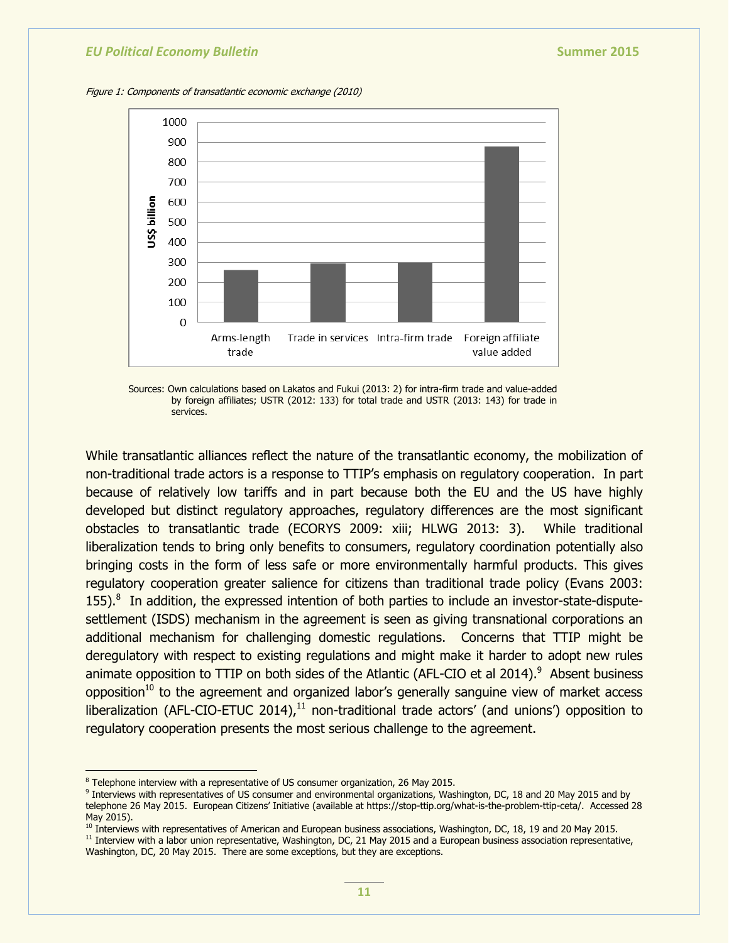Figure 1: Components of transatlantic economic exchange (2010)



Sources: Own calculations based on Lakatos and Fukui (2013: 2) for intra-firm trade and value-added by foreign affiliates; USTR (2012: 133) for total trade and USTR (2013: 143) for trade in services.

While transatlantic alliances reflect the nature of the transatlantic economy, the mobilization of non-traditional trade actors is a response to TTIP's emphasis on regulatory cooperation. In part because of relatively low tariffs and in part because both the EU and the US have highly developed but distinct regulatory approaches, regulatory differences are the most significant obstacles to transatlantic trade (ECORYS 2009: xiii; HLWG 2013: 3). While traditional liberalization tends to bring only benefits to consumers, regulatory coordination potentially also bringing costs in the form of less safe or more environmentally harmful products. This gives regulatory cooperation greater salience for citizens than traditional trade policy (Evans 2003: 155).<sup>8</sup> In addition, the expressed intention of both parties to include an investor-state-disputesettlement (ISDS) mechanism in the agreement is seen as giving transnational corporations an additional mechanism for challenging domestic regulations. Concerns that TTIP might be deregulatory with respect to existing regulations and might make it harder to adopt new rules animate opposition to TTIP on both sides of the Atlantic (AFL-CIO et al 2014).<sup>9</sup> Absent business opposition<sup>10</sup> to the agreement and organized labor's generally sanguine view of market access liberalization (AFL-CIO-ETUC 2014), $<sup>11</sup>$  non-traditional trade actors' (and unions') opposition to</sup> regulatory cooperation presents the most serious challenge to the agreement.

<sup>&</sup>lt;sup>8</sup> Telephone interview with a representative of US consumer organization, 26 May 2015.

<sup>&</sup>lt;sup>9</sup> Interviews with representatives of US consumer and environmental organizations, Washington, DC, 18 and 20 May 2015 and by telephone 26 May 2015. European Citizens' Initiative (available at https://stop-ttip.org/what-is-the-problem-ttip-ceta/. Accessed 28 May 2015).

<sup>&</sup>lt;sup>10</sup> Interviews with representatives of American and European business associations, Washington, DC, 18, 19 and 20 May 2015.

<sup>&</sup>lt;sup>11</sup> Interview with a labor union representative, Washington, DC, 21 May 2015 and a European business association representative, Washington, DC, 20 May 2015. There are some exceptions, but they are exceptions.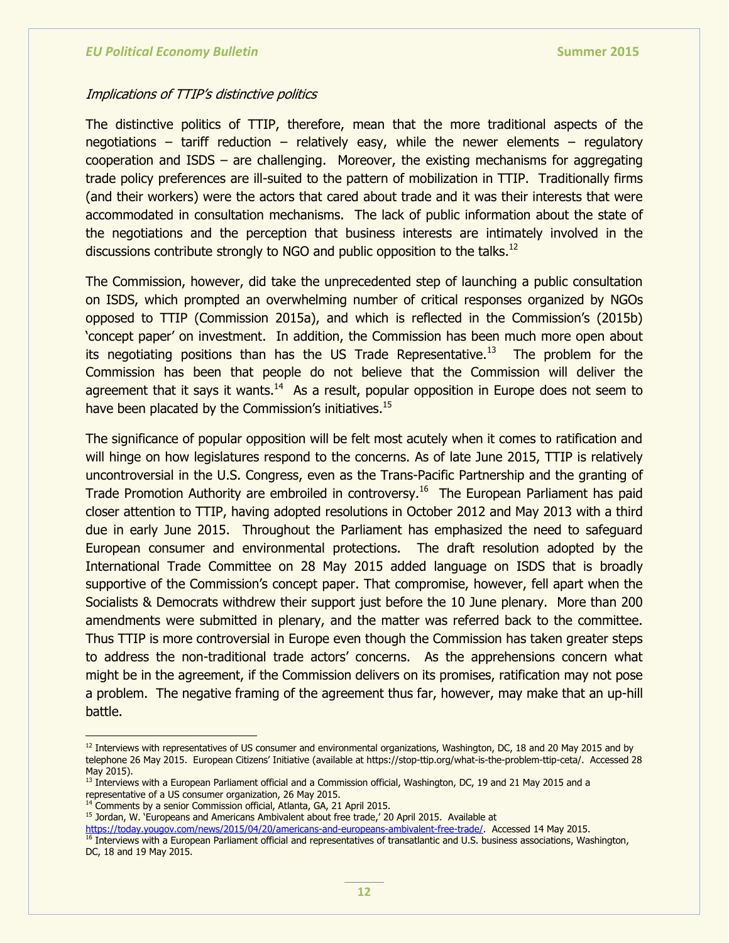## Implications of TTIP's distinctive politics

The distinctive politics of TTIP, therefore, mean that the more traditional aspects of the negotiations – tariff reduction – relatively easy, while the newer elements – regulatory cooperation and ISDS – are challenging. Moreover, the existing mechanisms for aggregating trade policy preferences are ill-suited to the pattern of mobilization in TTIP. Traditionally firms (and their workers) were the actors that cared about trade and it was their interests that were accommodated in consultation mechanisms. The lack of public information about the state of the negotiations and the perception that business interests are intimately involved in the discussions contribute strongly to NGO and public opposition to the talks. $^{12}$ 

The Commission, however, did take the unprecedented step of launching a public consultation on ISDS, which prompted an overwhelming number of critical responses organized by NGOs opposed to TTIP (Commission 2015a), and which is reflected in the Commission's (2015b) ‗concept paper' on investment. In addition, the Commission has been much more open about its negotiating positions than has the US Trade Representative.<sup>13</sup> The problem for the Commission has been that people do not believe that the Commission will deliver the agreement that it says it wants.<sup>14</sup> As a result, popular opposition in Europe does not seem to have been placated by the Commission's initiatives.<sup>15</sup>

The significance of popular opposition will be felt most acutely when it comes to ratification and will hinge on how legislatures respond to the concerns. As of late June 2015, TTIP is relatively uncontroversial in the U.S. Congress, even as the Trans-Pacific Partnership and the granting of Trade Promotion Authority are embroiled in controversy.<sup>16</sup> The European Parliament has paid closer attention to TTIP, having adopted resolutions in October 2012 and May 2013 with a third due in early June 2015. Throughout the Parliament has emphasized the need to safeguard European consumer and environmental protections. The draft resolution adopted by the International Trade Committee on 28 May 2015 added language on ISDS that is broadly supportive of the Commission's concept paper. That compromise, however, fell apart when the Socialists & Democrats withdrew their support just before the 10 June plenary. More than 200 amendments were submitted in plenary, and the matter was referred back to the committee. Thus TTIP is more controversial in Europe even though the Commission has taken greater steps to address the non-traditional trade actors' concerns. As the apprehensions concern what might be in the agreement, if the Commission delivers on its promises, ratification may not pose a problem. The negative framing of the agreement thus far, however, may make that an up-hill battle.

 $\overline{a}$ 

 $12$  Interviews with representatives of US consumer and environmental organizations, Washington, DC, 18 and 20 May 2015 and by telephone 26 May 2015. European Citizens' Initiative (available at https://stop-ttip.org/what-is-the-problem-ttip-ceta/. Accessed 28 May 2015).

 $<sup>13</sup>$  Interviews with a European Parliament official and a Commission official, Washington, DC, 19 and 21 May 2015 and a</sup> representative of a US consumer organization, 26 May 2015.

<sup>&</sup>lt;sup>14</sup> Comments by a senior Commission official, Atlanta, GA, 21 April 2015. <sup>15</sup> Jordan, W. `Europeans and Americans Ambivalent about free trade,' 20 April 2015. Available at

[https://today.yougov.com/news/2015/04/20/americans-and-europeans-ambivalent-free-trade/.](https://today.yougov.com/news/2015/04/20/americans-and-europeans-ambivalent-free-trade/) Accessed 14 May 2015. <sup>16</sup> Interviews with a European Parliament official and representatives of transatlantic and U.S. business associations, Washington, DC, 18 and 19 May 2015.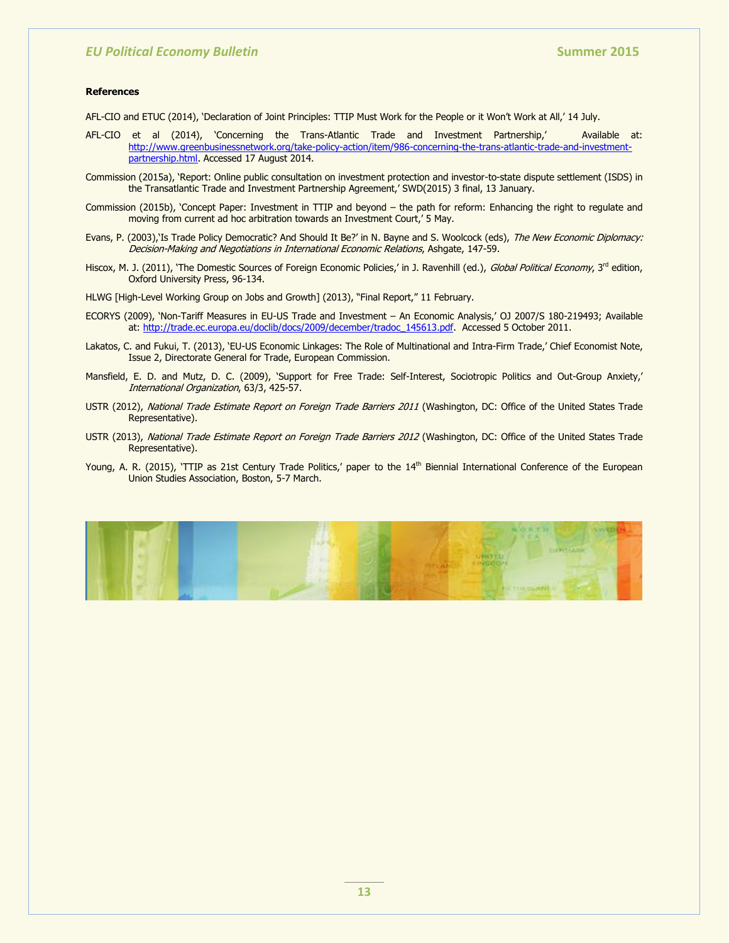#### **References**

AFL-CIO and ETUC (2014), 'Declaration of Joint Principles: TTIP Must Work for the People or it Won't Work at All,' 14 July.

- AFL-CIO et al (2014), 'Concerning the Trans-Atlantic Trade and Investment Partnership,' Available at: [http://www.greenbusinessnetwork.org/take-policy-action/item/986-concerning-the-trans-atlantic-trade-and-investment](http://www.greenbusinessnetwork.org/take-policy-action/item/986-concerning-the-trans-atlantic-trade-and-investment-partnership.html)[partnership.html.](http://www.greenbusinessnetwork.org/take-policy-action/item/986-concerning-the-trans-atlantic-trade-and-investment-partnership.html) Accessed 17 August 2014.
- Commission (2015a), 'Report: Online public consultation on investment protection and investor-to-state dispute settlement (ISDS) in the Transatlantic Trade and Investment Partnership Agreement,' SWD(2015) 3 final, 13 January.
- Commission (2015b), 'Concept Paper: Investment in TTIP and beyond the path for reform: Enhancing the right to regulate and moving from current ad hoc arbitration towards an Investment Court,' 5 May.
- Evans, P. (2003),'Is Trade Policy Democratic? And Should It Be?' in N. Bayne and S. Woolcock (eds), The New Economic Diplomacy: Decision-Making and Negotiations in International Economic Relations, Ashgate, 147-59.
- Hiscox, M. J. (2011), 'The Domestic Sources of Foreign Economic Policies,' in J. Ravenhill (ed.), Global Political Economy, 3rd edition, Oxford University Press, 96-134.
- HLWG [High-Level Working Group on Jobs and Growth] (2013), "Final Report," 11 February.
- ECORYS (2009), 'Non-Tariff Measures in EU-US Trade and Investment An Economic Analysis,' OJ 2007/S 180-219493; Available at: [http://trade.ec.europa.eu/doclib/docs/2009/december/tradoc\\_145613.pdf.](http://trade.ec.europa.eu/doclib/docs/2009/december/tradoc_145613.pdf) Accessed 5 October 2011.
- Lakatos, C. and Fukui, T. (2013), 'EU-US Economic Linkages: The Role of Multinational and Intra-Firm Trade,' Chief Economist Note, Issue 2, Directorate General for Trade, European Commission.
- Mansfield, E. D. and Mutz, D. C. (2009), 'Support for Free Trade: Self-Interest, Sociotropic Politics and Out-Group Anxiety,' International Organization, 63/3, 425-57.
- USTR (2012), National Trade Estimate Report on Foreign Trade Barriers 2011 (Washington, DC: Office of the United States Trade Representative).
- USTR (2013), National Trade Estimate Report on Foreign Trade Barriers 2012 (Washington, DC: Office of the United States Trade Representative).
- Young, A. R. (2015), 'TTIP as 21st Century Trade Politics,' paper to the 14<sup>th</sup> Biennial International Conference of the European Union Studies Association, Boston, 5-7 March.

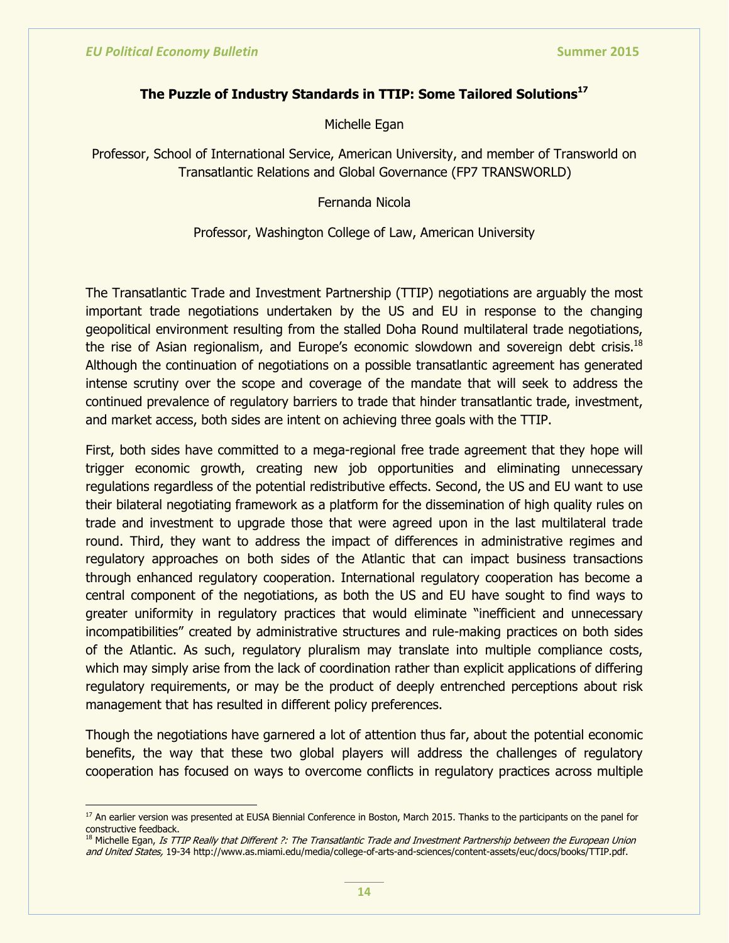## **The Puzzle of Industry Standards in TTIP: Some Tailored Solutions<sup>17</sup>**

Michelle Egan

Professor, School of International Service, American University, and member of Transworld on Transatlantic Relations and Global Governance (FP7 TRANSWORLD)

Fernanda Nicola

Professor, Washington College of Law, American University

The Transatlantic Trade and Investment Partnership (TTIP) negotiations are arguably the most important trade negotiations undertaken by the US and EU in response to the changing geopolitical environment resulting from the stalled Doha Round multilateral trade negotiations, the rise of Asian regionalism, and Europe's economic slowdown and sovereign debt crisis.<sup>18</sup> Although the continuation of negotiations on a possible transatlantic agreement has generated intense scrutiny over the scope and coverage of the mandate that will seek to address the continued prevalence of regulatory barriers to trade that hinder transatlantic trade, investment, and market access, both sides are intent on achieving three goals with the TTIP.

First, both sides have committed to a mega-regional free trade agreement that they hope will trigger economic growth, creating new job opportunities and eliminating unnecessary regulations regardless of the potential redistributive effects. Second, the US and EU want to use their bilateral negotiating framework as a platform for the dissemination of high quality rules on trade and investment to upgrade those that were agreed upon in the last multilateral trade round. Third, they want to address the impact of differences in administrative regimes and regulatory approaches on both sides of the Atlantic that can impact business transactions through enhanced regulatory cooperation. International regulatory cooperation has become a central component of the negotiations, as both the US and EU have sought to find ways to greater uniformity in regulatory practices that would eliminate "inefficient and unnecessary incompatibilities" created by administrative structures and rule-making practices on both sides of the Atlantic. As such, regulatory pluralism may translate into multiple compliance costs, which may simply arise from the lack of coordination rather than explicit applications of differing regulatory requirements, or may be the product of deeply entrenched perceptions about risk management that has resulted in different policy preferences.

Though the negotiations have garnered a lot of attention thus far, about the potential economic benefits, the way that these two global players will address the challenges of regulatory cooperation has focused on ways to overcome conflicts in regulatory practices across multiple

<sup>&</sup>lt;sup>17</sup> An earlier version was presented at EUSA Biennial Conference in Boston, March 2015. Thanks to the participants on the panel for constructive feedback.

<sup>&</sup>lt;sup>18</sup> Michelle Egan, Is TTIP Really that Different ?: The Transatlantic Trade and Investment Partnership between the European Union and United States, 19-34 http://www.as.miami.edu/media/college-of-arts-and-sciences/content-assets/euc/docs/books/TTIP.pdf.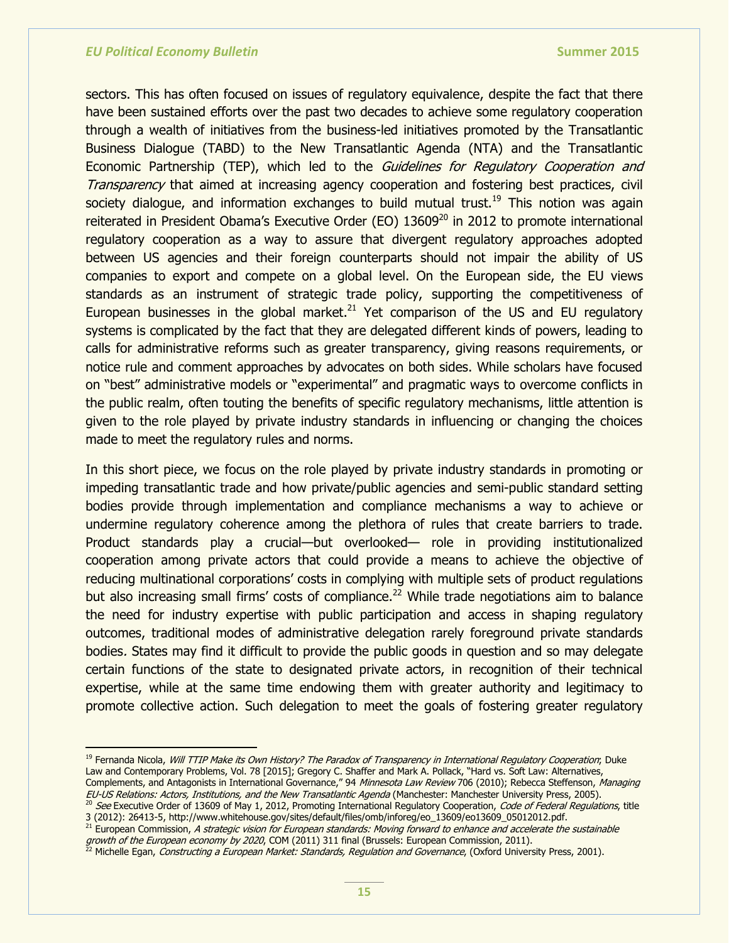$\overline{a}$ 

sectors. This has often focused on issues of regulatory equivalence, despite the fact that there have been sustained efforts over the past two decades to achieve some regulatory cooperation through a wealth of initiatives from the business-led initiatives promoted by the Transatlantic Business Dialogue (TABD) to the New Transatlantic Agenda (NTA) and the Transatlantic Economic Partnership (TEP), which led to the *Guidelines for Regulatory Cooperation and* Transparency that aimed at increasing agency cooperation and fostering best practices, civil society dialogue, and information exchanges to build mutual trust.<sup>19</sup> This notion was again reiterated in President Obama's Executive Order (EO) 13609<sup>20</sup> in 2012 to promote international regulatory cooperation as a way to assure that divergent regulatory approaches adopted between US agencies and their foreign counterparts should not impair the ability of US companies to export and compete on a global level. On the European side, the EU views standards as an instrument of strategic trade policy, supporting the competitiveness of European businesses in the global market.<sup>21</sup> Yet comparison of the US and EU regulatory systems is complicated by the fact that they are delegated different kinds of powers, leading to calls for administrative reforms such as greater transparency, giving reasons requirements, or notice rule and comment approaches by advocates on both sides. While scholars have focused on "best" administrative models or "experimental" and pragmatic ways to overcome conflicts in the public realm, often touting the benefits of specific regulatory mechanisms, little attention is given to the role played by private industry standards in influencing or changing the choices made to meet the regulatory rules and norms.

In this short piece, we focus on the role played by private industry standards in promoting or impeding transatlantic trade and how private/public agencies and semi-public standard setting bodies provide through implementation and compliance mechanisms a way to achieve or undermine regulatory coherence among the plethora of rules that create barriers to trade. Product standards play a crucial—but overlooked— role in providing institutionalized cooperation among private actors that could provide a means to achieve the objective of reducing multinational corporations' costs in complying with multiple sets of product regulations but also increasing small firms' costs of compliance.<sup>22</sup> While trade negotiations aim to balance the need for industry expertise with public participation and access in shaping regulatory outcomes, traditional modes of administrative delegation rarely foreground private standards bodies. States may find it difficult to provide the public goods in question and so may delegate certain functions of the state to designated private actors, in recognition of their technical expertise, while at the same time endowing them with greater authority and legitimacy to promote collective action. Such delegation to meet the goals of fostering greater regulatory

<sup>19</sup> Fernanda Nicola, Will TTIP Make its Own History? The Paradox of Transparency in International Regulatory Cooperation; Duke Law and Contemporary Problems, Vol. 78 [2015]; Gregory C. Shaffer and Mark A. Pollack, "Hard vs. Soft Law: Alternatives, Complements, and Antagonists in International Governance," 94 Minnesota Law Review 706 (2010); Rebecca Steffenson, Managing EU-US Relations: Actors, Institutions, and the New Transatlantic Agenda (Manchester: Manchester University Press, 2005).

 $21$  European Commission, A strategic vision for European standards: Moving forward to enhance and accelerate the sustainable growth of the European economy by 2020, COM (2011) 311 final (Brussels: European Commission, 2011).

<sup>&</sup>lt;sup>20</sup> See Executive Order of 13609 of May 1, 2012, Promoting International Regulatory Cooperation, Code of Federal Regulations, title 3 (2012): 26413-5, http://www.whitehouse.gov/sites/default/files/omb/inforeg/eo\_13609/eo13609\_05012012.pdf.

<sup>&</sup>lt;sup>22</sup> Michelle Egan, *Constructing a European Market: Standards, Regulation and Governance*, (Oxford University Press, 2001).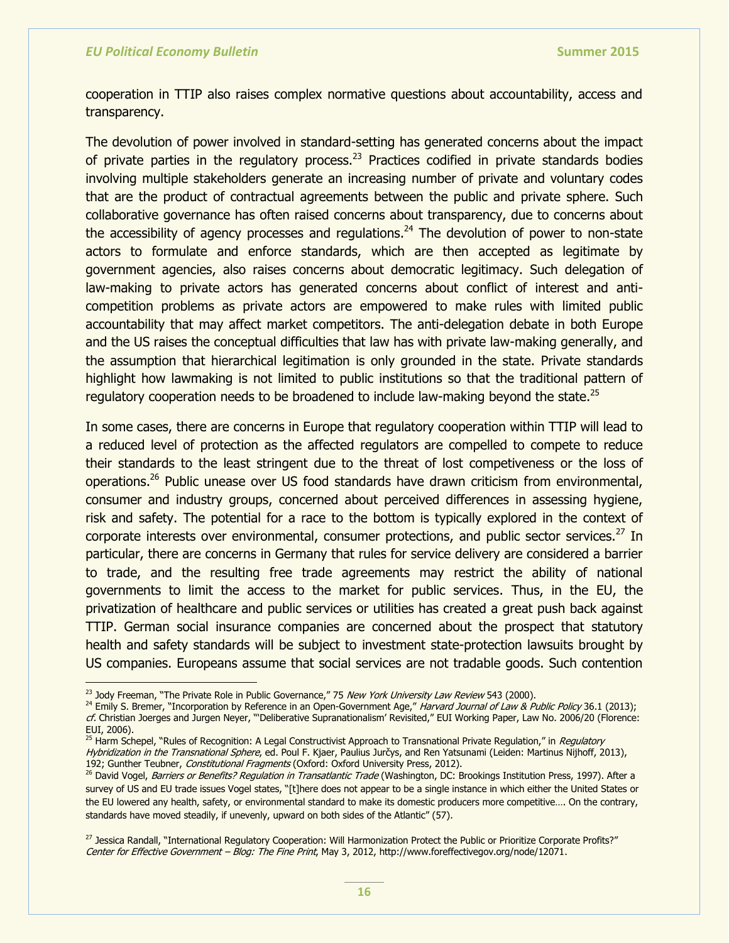cooperation in TTIP also raises complex normative questions about accountability, access and transparency.

The devolution of power involved in standard-setting has generated concerns about the impact of private parties in the regulatory process.<sup>23</sup> Practices codified in private standards bodies involving multiple stakeholders generate an increasing number of private and voluntary codes that are the product of contractual agreements between the public and private sphere. Such collaborative governance has often raised concerns about transparency, due to concerns about the accessibility of agency processes and regulations.<sup>24</sup> The devolution of power to non-state actors to formulate and enforce standards, which are then accepted as legitimate by government agencies, also raises concerns about democratic legitimacy. Such delegation of law-making to private actors has generated concerns about conflict of interest and anticompetition problems as private actors are empowered to make rules with limited public accountability that may affect market competitors. The anti-delegation debate in both Europe and the US raises the conceptual difficulties that law has with private law-making generally, and the assumption that hierarchical legitimation is only grounded in the state. Private standards highlight how lawmaking is not limited to public institutions so that the traditional pattern of regulatory cooperation needs to be broadened to include law-making beyond the state.<sup>25</sup>

In some cases, there are concerns in Europe that regulatory cooperation within TTIP will lead to a reduced level of protection as the affected regulators are compelled to compete to reduce their standards to the least stringent due to the threat of lost competiveness or the loss of operations.<sup>26</sup> Public unease over US food standards have drawn criticism from environmental, consumer and industry groups, concerned about perceived differences in assessing hygiene, risk and safety. The potential for a race to the bottom is typically explored in the context of corporate interests over environmental, consumer protections, and public sector services. $^{2}$  In particular, there are concerns in Germany that rules for service delivery are considered a barrier to trade, and the resulting free trade agreements may restrict the ability of national governments to limit the access to the market for public services. Thus, in the EU, the privatization of healthcare and public services or utilities has created a great push back against TTIP. German social insurance companies are concerned about the prospect that statutory health and safety standards will be subject to investment state-protection lawsuits brought by US companies. Europeans assume that social services are not tradable goods. Such contention

<sup>&</sup>lt;sup>23</sup> Jody Freeman, "The Private Role in Public Governance," 75 New York University Law Review 543 (2000).

<sup>&</sup>lt;sup>24</sup> Emily S. Bremer, "Incorporation by Reference in an Open-Government Age," Harvard Journal of Law & Public Policy 36.1 (2013); cf. Christian Joerges and Jurgen Neyer, ""Deliberative Supranationalism' Revisited," EUI Working Paper, Law No. 2006/20 (Florence: EUI, 2006).

<sup>&</sup>lt;sup>25</sup> Harm Schepel, "Rules of Recognition: A Legal Constructivist Approach to Transnational Private Regulation," in Regulatory Hybridization in the Transnational Sphere, ed. Poul F. Kjaer, Paulius Jurčys, and Ren Yatsunami (Leiden: Martinus Nijhoff, 2013), 192; Gunther Teubner, Constitutional Fragments (Oxford: Oxford University Press, 2012).

<sup>&</sup>lt;sup>26</sup> David Vogel, Barriers or Benefits? Regulation in Transatlantic Trade (Washington, DC: Brookings Institution Press, 1997). After a survey of US and EU trade issues Vogel states, "[t]here does not appear to be a single instance in which either the United States or the EU lowered any health, safety, or environmental standard to make its domestic producers more competitive…. On the contrary, standards have moved steadily, if unevenly, upward on both sides of the Atlantic" (57).

<sup>&</sup>lt;sup>27</sup> Jessica Randall, "International Regulatory Cooperation: Will Harmonization Protect the Public or Prioritize Corporate Profits?" Center for Effective Government – Blog: The Fine Print, May 3, 2012, http://www.foreffectivegov.org/node/12071.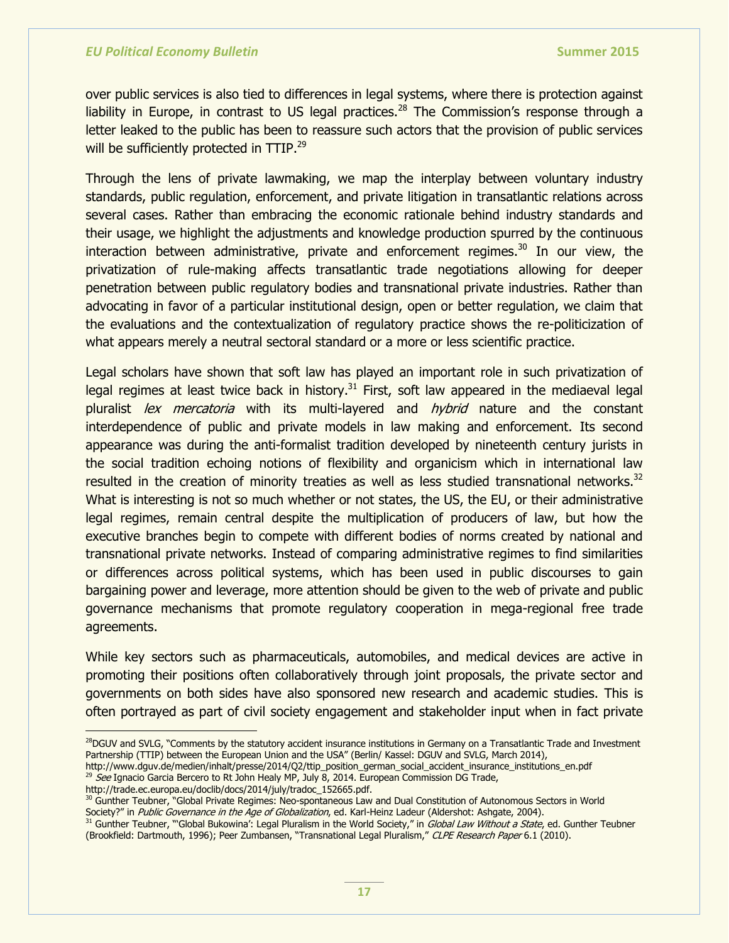over public services is also tied to differences in legal systems, where there is protection against liability in Europe, in contrast to US legal practices.<sup>28</sup> The Commission's response through a letter leaked to the public has been to reassure such actors that the provision of public services will be sufficiently protected in TTIP.<sup>29</sup>

Through the lens of private lawmaking, we map the interplay between voluntary industry standards, public regulation, enforcement, and private litigation in transatlantic relations across several cases. Rather than embracing the economic rationale behind industry standards and their usage, we highlight the adjustments and knowledge production spurred by the continuous interaction between administrative, private and enforcement regimes. <sup>30</sup> In our view, the privatization of rule-making affects transatlantic trade negotiations allowing for deeper penetration between public regulatory bodies and transnational private industries. Rather than advocating in favor of a particular institutional design, open or better regulation, we claim that the evaluations and the contextualization of regulatory practice shows the re-politicization of what appears merely a neutral sectoral standard or a more or less scientific practice.

Legal scholars have shown that soft law has played an important role in such privatization of legal regimes at least twice back in history.<sup>31</sup> First, soft law appeared in the mediaeval legal pluralist lex mercatoria with its multi-layered and hybrid nature and the constant interdependence of public and private models in law making and enforcement. Its second appearance was during the anti-formalist tradition developed by nineteenth century jurists in the social tradition echoing notions of flexibility and organicism which in international law resulted in the creation of minority treaties as well as less studied transnational networks.<sup>32</sup> What is interesting is not so much whether or not states, the US, the EU, or their administrative legal regimes, remain central despite the multiplication of producers of law, but how the executive branches begin to compete with different bodies of norms created by national and transnational private networks. Instead of comparing administrative regimes to find similarities or differences across political systems, which has been used in public discourses to gain bargaining power and leverage, more attention should be given to the web of private and public governance mechanisms that promote regulatory cooperation in mega-regional free trade agreements.

While key sectors such as pharmaceuticals, automobiles, and medical devices are active in promoting their positions often collaboratively through joint proposals, the private sector and governments on both sides have also sponsored new research and academic studies. This is often portrayed as part of civil society engagement and stakeholder input when in fact private

http://www.dguv.de/medien/inhalt/presse/2014/Q2/ttip\_position\_german\_social\_accident\_insurance\_institutions\_en.pdf  $^{29}$  See Ignacio Garcia Bercero to Rt John Healy MP, July 8, 2014. European Commission DG Trade,

http://trade.ec.europa.eu/doclib/docs/2014/july/tradoc\_152665.pdf.

 $\overline{a}$ 

30 Gunther Teubner, "Global Private Regimes: Neo-spontaneous Law and Dual Constitution of Autonomous Sectors in World Society?" in Public Governance in the Age of Globalization, ed. Karl-Heinz Ladeur (Aldershot: Ashgate, 2004).

<sup>&</sup>lt;sup>28</sup>DGUV and SVLG, "Comments by the statutory accident insurance institutions in Germany on a Transatlantic Trade and Investment Partnership (TTIP) between the European Union and the USA" (Berlin/ Kassel: DGUV and SVLG, March 2014),

<sup>31</sup> Gunther Teubner, "Global Bukowina': Legal Pluralism in the World Society," in Global Law Without a State, ed. Gunther Teubner (Brookfield: Dartmouth, 1996); Peer Zumbansen, "Transnational Legal Pluralism," CLPE Research Paper 6.1 (2010).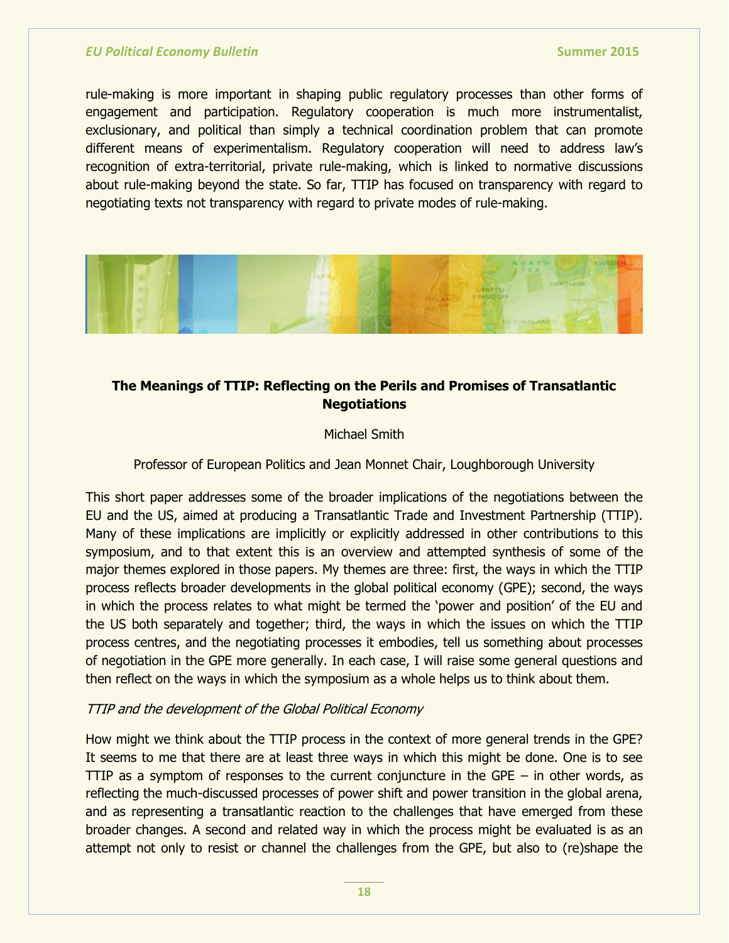rule-making is more important in shaping public regulatory processes than other forms of engagement and participation. Regulatory cooperation is much more instrumentalist, exclusionary, and political than simply a technical coordination problem that can promote different means of experimentalism. Regulatory cooperation will need to address law's recognition of extra-territorial, private rule-making, which is linked to normative discussions about rule-making beyond the state. So far, TTIP has focused on transparency with regard to negotiating texts not transparency with regard to private modes of rule-making.



## **The Meanings of TTIP: Reflecting on the Perils and Promises of Transatlantic Negotiations**

## Michael Smith

Professor of European Politics and Jean Monnet Chair, Loughborough University

This short paper addresses some of the broader implications of the negotiations between the EU and the US, aimed at producing a Transatlantic Trade and Investment Partnership (TTIP). Many of these implications are implicitly or explicitly addressed in other contributions to this symposium, and to that extent this is an overview and attempted synthesis of some of the major themes explored in those papers. My themes are three: first, the ways in which the TTIP process reflects broader developments in the global political economy (GPE); second, the ways in which the process relates to what might be termed the 'power and position' of the EU and the US both separately and together; third, the ways in which the issues on which the TTIP process centres, and the negotiating processes it embodies, tell us something about processes of negotiation in the GPE more generally. In each case, I will raise some general questions and then reflect on the ways in which the symposium as a whole helps us to think about them.

## TTIP and the development of the Global Political Economy

How might we think about the TTIP process in the context of more general trends in the GPE? It seems to me that there are at least three ways in which this might be done. One is to see TTIP as a symptom of responses to the current conjuncture in the GPE  $-$  in other words, as reflecting the much-discussed processes of power shift and power transition in the global arena, and as representing a transatlantic reaction to the challenges that have emerged from these broader changes. A second and related way in which the process might be evaluated is as an attempt not only to resist or channel the challenges from the GPE, but also to (re)shape the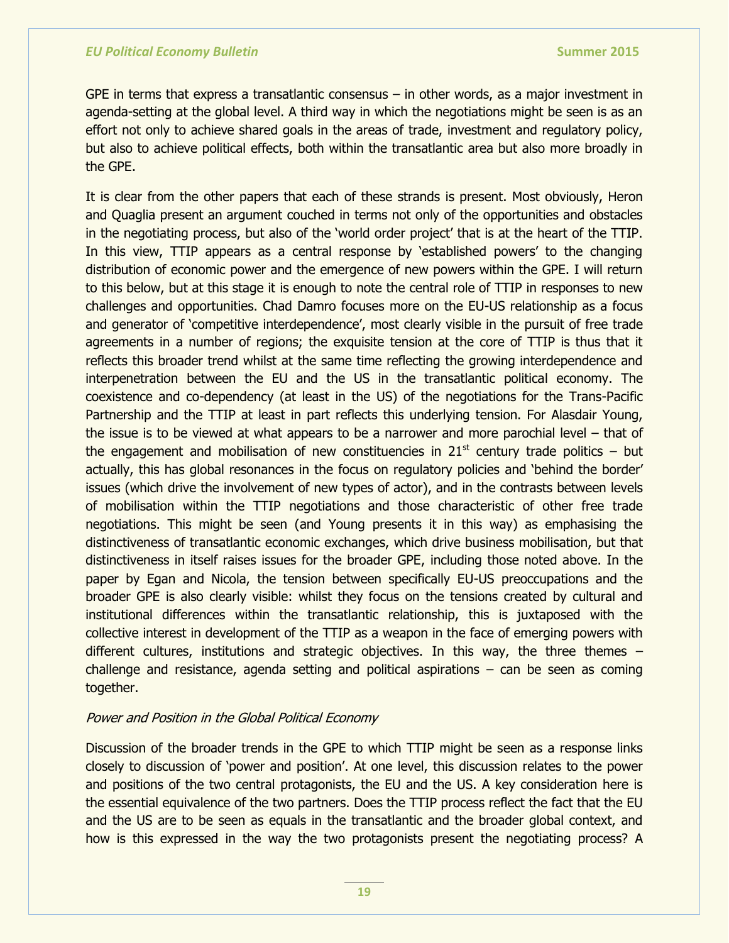GPE in terms that express a transatlantic consensus  $-$  in other words, as a major investment in agenda-setting at the global level. A third way in which the negotiations might be seen is as an effort not only to achieve shared goals in the areas of trade, investment and regulatory policy, but also to achieve political effects, both within the transatlantic area but also more broadly in the GPE.

It is clear from the other papers that each of these strands is present. Most obviously, Heron and Quaglia present an argument couched in terms not only of the opportunities and obstacles in the negotiating process, but also of the 'world order project' that is at the heart of the TTIP. In this view, TTIP appears as a central response by 'established powers' to the changing distribution of economic power and the emergence of new powers within the GPE. I will return to this below, but at this stage it is enough to note the central role of TTIP in responses to new challenges and opportunities. Chad Damro focuses more on the EU-US relationship as a focus and generator of 'competitive interdependence', most clearly visible in the pursuit of free trade agreements in a number of regions; the exquisite tension at the core of TTIP is thus that it reflects this broader trend whilst at the same time reflecting the growing interdependence and interpenetration between the EU and the US in the transatlantic political economy. The coexistence and co-dependency (at least in the US) of the negotiations for the Trans-Pacific Partnership and the TTIP at least in part reflects this underlying tension. For Alasdair Young, the issue is to be viewed at what appears to be a narrower and more parochial level – that of the engagement and mobilisation of new constituencies in  $21<sup>st</sup>$  century trade politics – but actually, this has global resonances in the focus on regulatory policies and 'behind the border' issues (which drive the involvement of new types of actor), and in the contrasts between levels of mobilisation within the TTIP negotiations and those characteristic of other free trade negotiations. This might be seen (and Young presents it in this way) as emphasising the distinctiveness of transatlantic economic exchanges, which drive business mobilisation, but that distinctiveness in itself raises issues for the broader GPE, including those noted above. In the paper by Egan and Nicola, the tension between specifically EU-US preoccupations and the broader GPE is also clearly visible: whilst they focus on the tensions created by cultural and institutional differences within the transatlantic relationship, this is juxtaposed with the collective interest in development of the TTIP as a weapon in the face of emerging powers with different cultures, institutions and strategic objectives. In this way, the three themes – challenge and resistance, agenda setting and political aspirations – can be seen as coming together.

## Power and Position in the Global Political Economy

Discussion of the broader trends in the GPE to which TTIP might be seen as a response links closely to discussion of 'power and position'. At one level, this discussion relates to the power and positions of the two central protagonists, the EU and the US. A key consideration here is the essential equivalence of the two partners. Does the TTIP process reflect the fact that the EU and the US are to be seen as equals in the transatlantic and the broader global context, and how is this expressed in the way the two protagonists present the negotiating process? A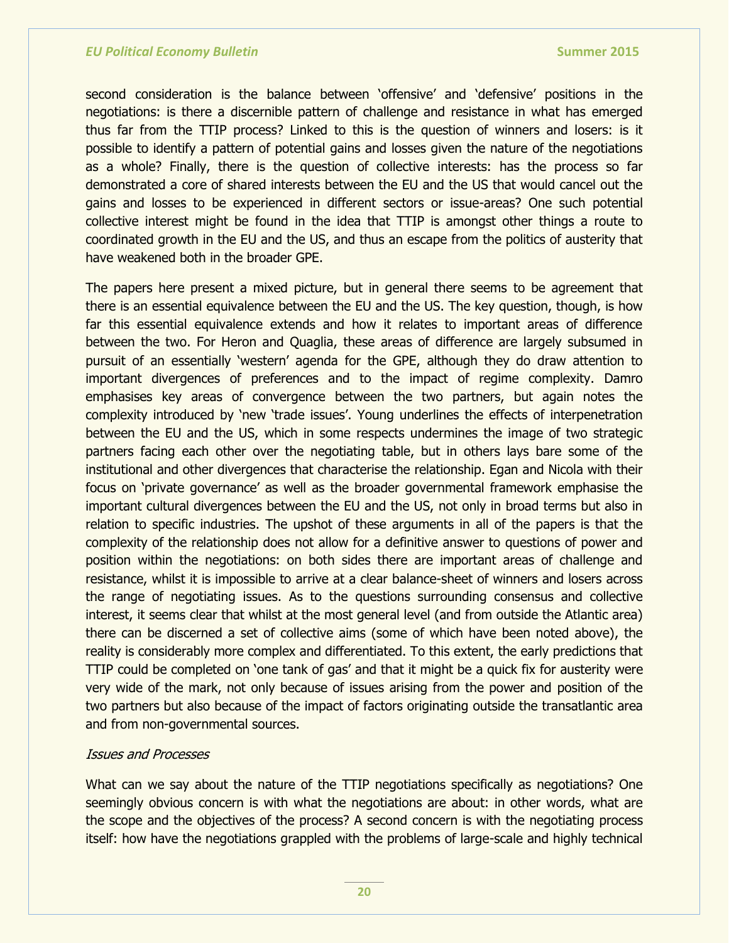second consideration is the balance between 'offensive' and 'defensive' positions in the negotiations: is there a discernible pattern of challenge and resistance in what has emerged thus far from the TTIP process? Linked to this is the question of winners and losers: is it possible to identify a pattern of potential gains and losses given the nature of the negotiations as a whole? Finally, there is the question of collective interests: has the process so far demonstrated a core of shared interests between the EU and the US that would cancel out the gains and losses to be experienced in different sectors or issue-areas? One such potential collective interest might be found in the idea that TTIP is amongst other things a route to coordinated growth in the EU and the US, and thus an escape from the politics of austerity that have weakened both in the broader GPE.

The papers here present a mixed picture, but in general there seems to be agreement that there is an essential equivalence between the EU and the US. The key question, though, is how far this essential equivalence extends and how it relates to important areas of difference between the two. For Heron and Quaglia, these areas of difference are largely subsumed in pursuit of an essentially 'western' agenda for the GPE, although they do draw attention to important divergences of preferences and to the impact of regime complexity. Damro emphasises key areas of convergence between the two partners, but again notes the complexity introduced by 'new 'trade issues'. Young underlines the effects of interpenetration between the EU and the US, which in some respects undermines the image of two strategic partners facing each other over the negotiating table, but in others lays bare some of the institutional and other divergences that characterise the relationship. Egan and Nicola with their focus on 'private governance' as well as the broader governmental framework emphasise the important cultural divergences between the EU and the US, not only in broad terms but also in relation to specific industries. The upshot of these arguments in all of the papers is that the complexity of the relationship does not allow for a definitive answer to questions of power and position within the negotiations: on both sides there are important areas of challenge and resistance, whilst it is impossible to arrive at a clear balance-sheet of winners and losers across the range of negotiating issues. As to the questions surrounding consensus and collective interest, it seems clear that whilst at the most general level (and from outside the Atlantic area) there can be discerned a set of collective aims (some of which have been noted above), the reality is considerably more complex and differentiated. To this extent, the early predictions that TTIP could be completed on 'one tank of gas' and that it might be a quick fix for austerity were very wide of the mark, not only because of issues arising from the power and position of the two partners but also because of the impact of factors originating outside the transatlantic area and from non-governmental sources.

## Issues and Processes

What can we say about the nature of the TTIP negotiations specifically as negotiations? One seemingly obvious concern is with what the negotiations are about: in other words, what are the scope and the objectives of the process? A second concern is with the negotiating process itself: how have the negotiations grappled with the problems of large-scale and highly technical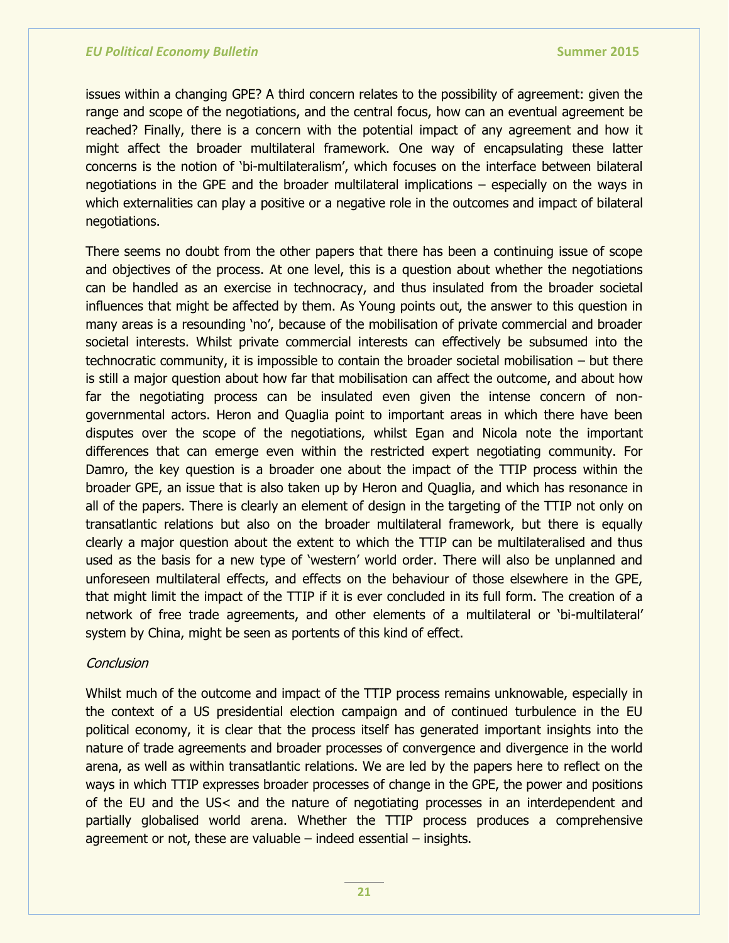issues within a changing GPE? A third concern relates to the possibility of agreement: given the range and scope of the negotiations, and the central focus, how can an eventual agreement be reached? Finally, there is a concern with the potential impact of any agreement and how it might affect the broader multilateral framework. One way of encapsulating these latter concerns is the notion of ‗bi-multilateralism', which focuses on the interface between bilateral negotiations in the GPE and the broader multilateral implications – especially on the ways in which externalities can play a positive or a negative role in the outcomes and impact of bilateral negotiations.

There seems no doubt from the other papers that there has been a continuing issue of scope and objectives of the process. At one level, this is a question about whether the negotiations can be handled as an exercise in technocracy, and thus insulated from the broader societal influences that might be affected by them. As Young points out, the answer to this question in many areas is a resounding 'no', because of the mobilisation of private commercial and broader societal interests. Whilst private commercial interests can effectively be subsumed into the technocratic community, it is impossible to contain the broader societal mobilisation – but there is still a major question about how far that mobilisation can affect the outcome, and about how far the negotiating process can be insulated even given the intense concern of nongovernmental actors. Heron and Quaglia point to important areas in which there have been disputes over the scope of the negotiations, whilst Egan and Nicola note the important differences that can emerge even within the restricted expert negotiating community. For Damro, the key question is a broader one about the impact of the TTIP process within the broader GPE, an issue that is also taken up by Heron and Quaglia, and which has resonance in all of the papers. There is clearly an element of design in the targeting of the TTIP not only on transatlantic relations but also on the broader multilateral framework, but there is equally clearly a major question about the extent to which the TTIP can be multilateralised and thus used as the basis for a new type of 'western' world order. There will also be unplanned and unforeseen multilateral effects, and effects on the behaviour of those elsewhere in the GPE, that might limit the impact of the TTIP if it is ever concluded in its full form. The creation of a network of free trade agreements, and other elements of a multilateral or 'bi-multilateral' system by China, might be seen as portents of this kind of effect.

## **Conclusion**

Whilst much of the outcome and impact of the TTIP process remains unknowable, especially in the context of a US presidential election campaign and of continued turbulence in the EU political economy, it is clear that the process itself has generated important insights into the nature of trade agreements and broader processes of convergence and divergence in the world arena, as well as within transatlantic relations. We are led by the papers here to reflect on the ways in which TTIP expresses broader processes of change in the GPE, the power and positions of the EU and the US< and the nature of negotiating processes in an interdependent and partially globalised world arena. Whether the TTIP process produces a comprehensive agreement or not, these are valuable – indeed essential – insights.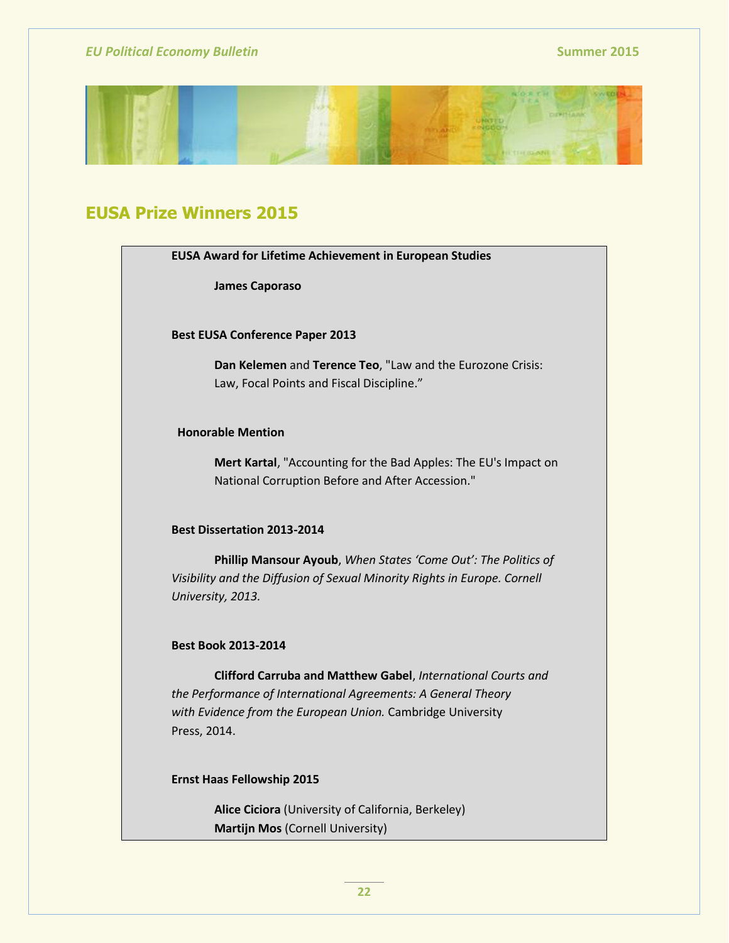

# **EUSA Prize Winners 2015**

**James Caporaso**

**Best EUSA Conference Paper 2013**

**Dan Kelemen** and **Terence Teo**, "Law and the Eurozone Crisis: Law, Focal Points and Fiscal Discipline."

## **Honorable Mention**

**Mert Kartal**, "Accounting for the Bad Apples: The EU's Impact on National Corruption Before and After Accession."

### **Best Dissertation 2013-2014**

**Phillip Mansour Ayoub**, *When States 'Come Out': The Politics of Visibility and the Diffusion of Sexual Minority Rights in Europe. Cornell University, 2013.*

#### **Best Book 2013-2014**

**Clifford Carruba and Matthew Gabel**, *International Courts and the Performance of International Agreements: A General Theory with Evidence from the European Union.* Cambridge University Press, 2014.

#### **Ernst Haas Fellowship 2015**

**Alice Ciciora** (University of California, Berkeley) **Martijn Mos** (Cornell University)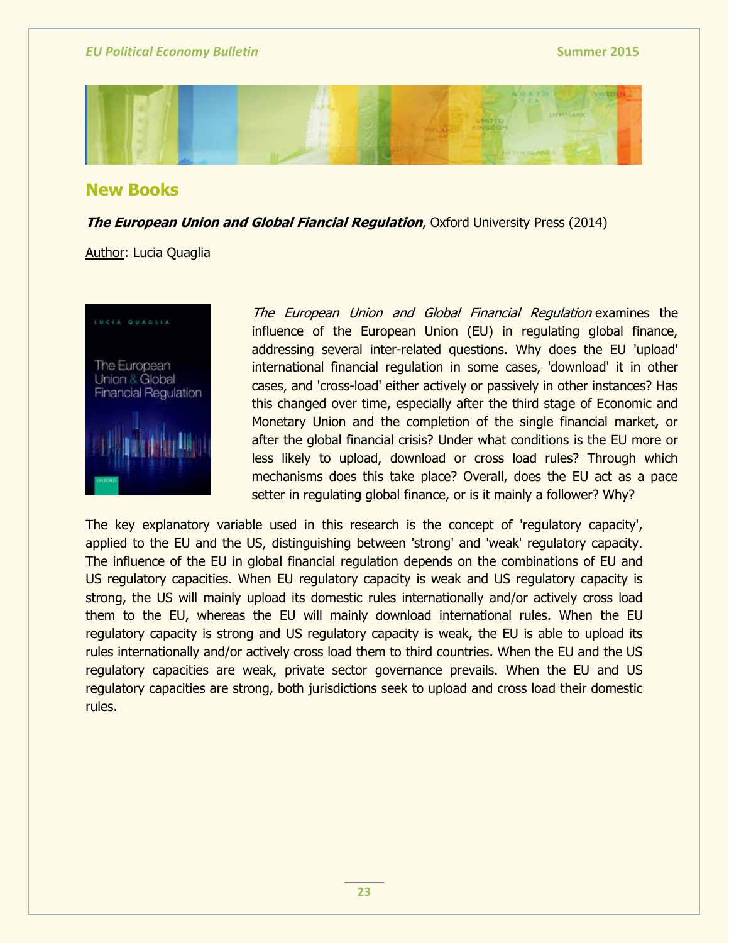

## **New Books**

**The European Union and Global Fiancial Regulation**, Oxford University Press (2014)

## Author: Lucia Quaglia



The European Union and Global Financial Regulation examines the influence of the European Union (EU) in regulating global finance, addressing several inter-related questions. Why does the EU 'upload' international financial regulation in some cases, 'download' it in other cases, and 'cross-load' either actively or passively in other instances? Has this changed over time, especially after the third stage of Economic and Monetary Union and the completion of the single financial market, or after the global financial crisis? Under what conditions is the EU more or less likely to upload, download or cross load rules? Through which mechanisms does this take place? Overall, does the EU act as a pace setter in regulating global finance, or is it mainly a follower? Why?

The key explanatory variable used in this research is the concept of 'regulatory capacity', applied to the EU and the US, distinguishing between 'strong' and 'weak' regulatory capacity. The influence of the EU in global financial regulation depends on the combinations of EU and US regulatory capacities. When EU regulatory capacity is weak and US regulatory capacity is strong, the US will mainly upload its domestic rules internationally and/or actively cross load them to the EU, whereas the EU will mainly download international rules. When the EU regulatory capacity is strong and US regulatory capacity is weak, the EU is able to upload its rules internationally and/or actively cross load them to third countries. When the EU and the US regulatory capacities are weak, private sector governance prevails. When the EU and US regulatory capacities are strong, both jurisdictions seek to upload and cross load their domestic rules.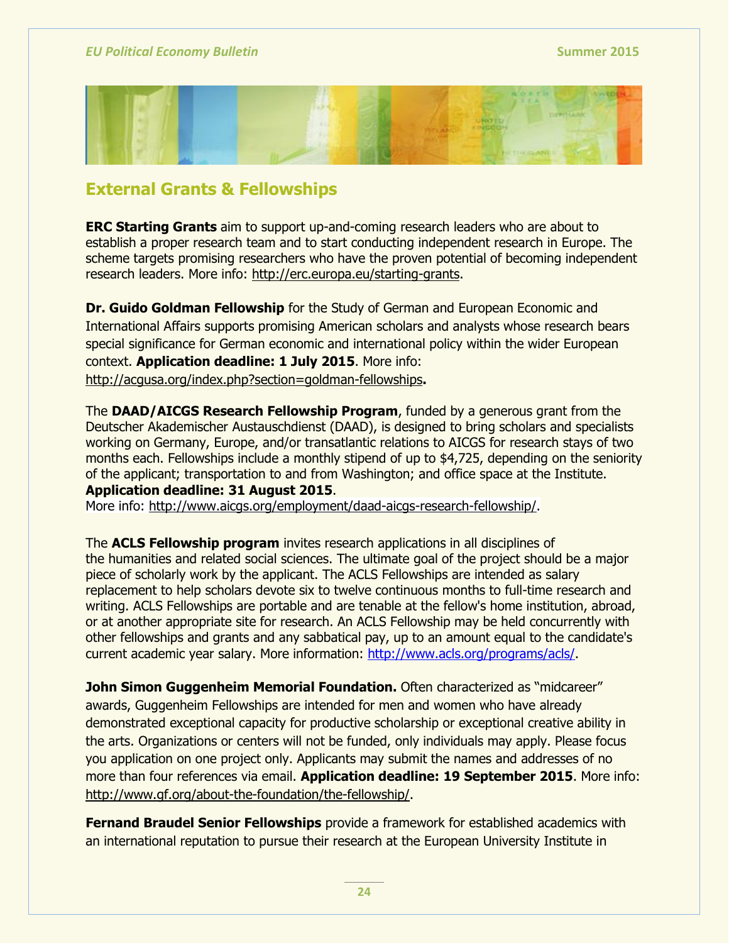

# **External Grants & Fellowships**

**ERC Starting Grants** aim to support up-and-coming research leaders who are about to establish a proper research team and to start conducting independent research in Europe. The scheme targets promising researchers who have the proven potential of becoming independent research leaders. More info: [http://erc.europa.eu/starting-grants.](http://erc.europa.eu/starting-grants)

**Dr. Guido Goldman Fellowship** for the Study of German and European Economic and International Affairs supports promising American scholars and analysts whose research bears special significance for German economic and international policy within the wider European context. **Application deadline: 1 July 2015**. More info: <http://acgusa.org/index.php?section=goldman-fellowships>**.**

The **DAAD/AICGS Research Fellowship Program**, funded by a generous grant from the Deutscher Akademischer Austauschdienst (DAAD), is designed to bring scholars and specialists working on Germany, Europe, and/or transatlantic relations to AICGS for research stays of two months each. Fellowships include a monthly stipend of up to \$4,725, depending on the seniority of the applicant; transportation to and from Washington; and office space at the Institute. **Application deadline: 31 August 2015**.

More info: [http://www.aicgs.org/employment/daad-aicgs-research-fellowship/.](http://www.aicgs.org/employment/daad-aicgs-research-fellowship/)

The **ACLS Fellowship program** invites research applications in all disciplines of the humanities and related social sciences. The ultimate goal of the project should be a major piece of scholarly work by the applicant. The ACLS Fellowships are intended as salary replacement to help scholars devote six to twelve continuous months to full-time research and writing. ACLS Fellowships are portable and are tenable at the fellow's home institution, abroad, or at another appropriate site for research. An ACLS Fellowship may be held concurrently with other fellowships and grants and any sabbatical pay, up to an amount equal to the candidate's current academic year salary. More information: [http://www.acls.org/programs/acls/.](http://www.acls.org/programs/acls/)

**John Simon Guggenheim Memorial Foundation.** Often characterized as "midcareer" awards, Guggenheim Fellowships are intended for men and women who have already demonstrated exceptional capacity for productive scholarship or exceptional creative ability in the arts. Organizations or centers will not be funded, only individuals may apply. Please focus you application on one project only. Applicants may submit the names and addresses of no more than four references via email. **Application deadline: 19 September 2015**. More info: [http://www.gf.org/about-the-foundation/the-fellowship/.](http://www.gf.org/about-the-foundation/the-fellowship/)

**Fernand Braudel Senior Fellowships** provide a framework for established academics with an international reputation to pursue their research at the European University Institute in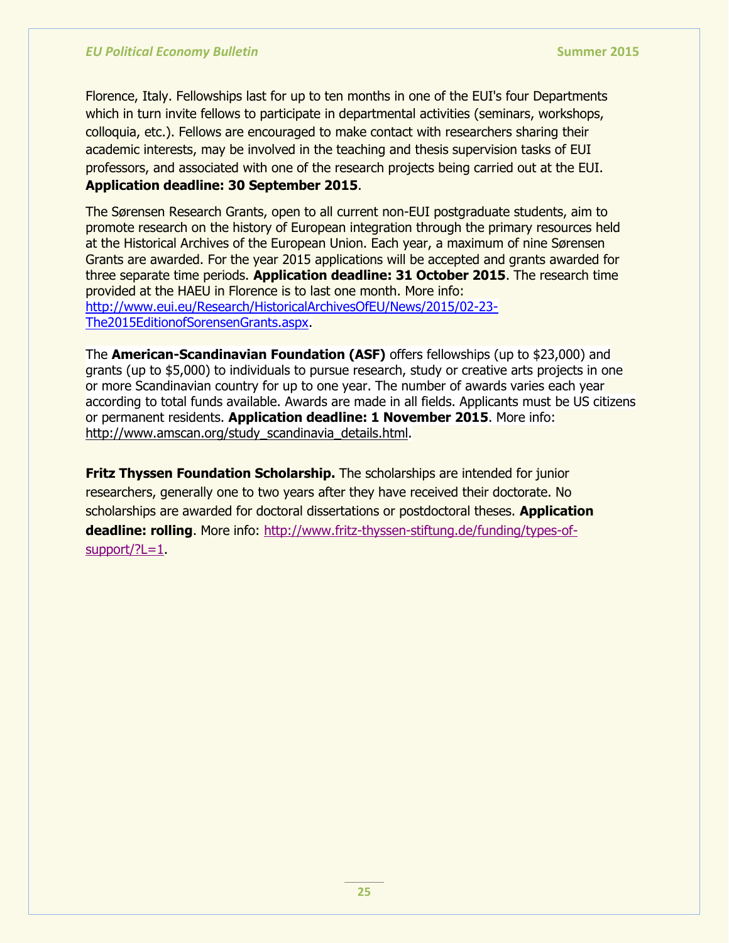Florence, Italy. Fellowships last for up to ten months in one of the EUI's four Departments which in turn invite fellows to participate in departmental activities (seminars, workshops, colloquia, etc.). Fellows are encouraged to make contact with researchers sharing their academic interests, may be involved in the teaching and thesis supervision tasks of EUI professors, and associated with one of the research projects being carried out at the EUI. **Application deadline: 30 September 2015**.

The Sørensen Research Grants, open to all current non-EUI postgraduate students, aim to promote research on the history of European integration through the primary resources held at the Historical Archives of the European Union. Each year, a maximum of nine Sørensen Grants are awarded. For the year 2015 applications will be accepted and grants awarded for three separate time periods. **Application deadline: 31 October 2015**. The research time provided at the HAEU in Florence is to last one month. More info: [http://www.eui.eu/Research/HistoricalArchivesOfEU/News/2015/02-23-](http://www.eui.eu/Research/HistoricalArchivesOfEU/News/2015/02-23-The2015EditionofSorensenGrants.aspx) [The2015EditionofSorensenGrants.aspx.](http://www.eui.eu/Research/HistoricalArchivesOfEU/News/2015/02-23-The2015EditionofSorensenGrants.aspx)

The **American-Scandinavian Foundation (ASF)** offers fellowships (up to \$23,000) and grants (up to \$5,000) to individuals to pursue research, study or creative arts projects in one or more Scandinavian country for up to one year. The number of awards varies each year according to total funds available. Awards are made in all fields. Applicants must be US citizens or permanent residents. **Application deadline: 1 November 2015**. More info: [http://www.amscan.org/study\\_scandinavia\\_details.html.](http://www.amscan.org/study_scandinavia_details.html)

**Fritz Thyssen Foundation Scholarship.** The scholarships are intended for junior researchers, generally one to two years after they have received their doctorate. No scholarships are awarded for doctoral dissertations or postdoctoral theses. **Application deadline: rolling**. More info: [http://www.fritz-thyssen-stiftung.de/funding/types-of](http://www.fritz-thyssen-stiftung.de/funding/types-of-support/?L=1) $support$ ?L=1.